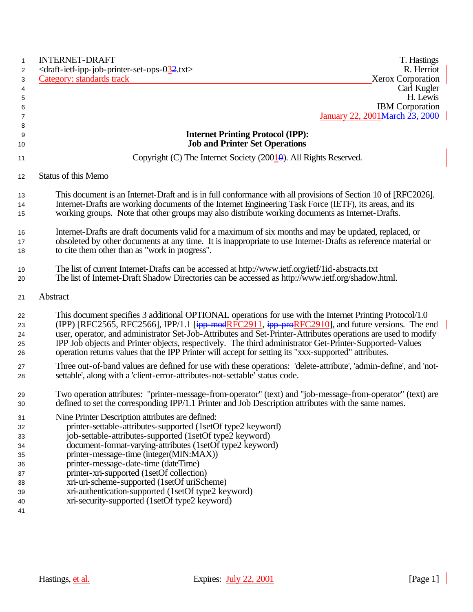| $\mathbf{1}$ | <b>INTERNET-DRAFT</b><br>T. Hastings                                                                                        |
|--------------|-----------------------------------------------------------------------------------------------------------------------------|
| 2            | R. Herriot<br><draft-ietf-ipp-job-printer-set-ops-032.txt></draft-ietf-ipp-job-printer-set-ops-032.txt>                     |
| 3            | Category: standards track<br><b>Xerox Corporation</b>                                                                       |
| 4            | Carl Kugler                                                                                                                 |
| 5            | H. Lewis                                                                                                                    |
| 6            | <b>IBM</b> Corporation                                                                                                      |
| 7            | January 22, 2001 March 23, 2000                                                                                             |
| 8            |                                                                                                                             |
| 9            | <b>Internet Printing Protocol (IPP):</b>                                                                                    |
| 10           | <b>Job and Printer Set Operations</b>                                                                                       |
| 11           | Copyright (C) The Internet Society $(2001\theta)$ . All Rights Reserved.                                                    |
| 12           | Status of this Memo                                                                                                         |
| 13           | This document is an Internet-Draft and is in full conformance with all provisions of Section 10 of [RFC2026].               |
| 14           | Internet-Drafts are working documents of the Internet Engineering Task Force (IETF), its areas, and its                     |
| 15           | working groups. Note that other groups may also distribute working documents as Internet-Drafts.                            |
| 16           | Internet-Drafts are draft documents valid for a maximum of six months and may be updated, replaced, or                      |
| 17           | obsoleted by other documents at any time. It is inappropriate to use Internet-Drafts as reference material or               |
| 18           | to cite them other than as "work in progress".                                                                              |
| 19           | The list of current Internet-Drafts can be accessed at http://www.ietf.org/ietf/1id-abstracts.txt                           |
| 20           | The list of Internet-Draft Shadow Directories can be accessed as http://www.ietf.org/shadow.html.                           |
| 21           | Abstract                                                                                                                    |
| 22           | This document specifies 3 additional OPTIONAL operations for use with the Internet Printing Protocol/1.0                    |
| 23           | (IPP) [RFC2565, RFC2566], IPP/1.1 [ $\frac{1}{1}$ PP-modRFC2911, $\frac{1}{1}$ PP-proRFC2910], and future versions. The end |
| 24           | user, operator, and administrator Set-Job-Attributes and Set-Printer-Attributes operations are used to modify               |
| 25           | IPP Job objects and Printer objects, respectively. The third administrator Get-Printer-Supported-Values                     |
| 26           | operation returns values that the IPP Printer will accept for setting its "xxx-supported" attributes.                       |
| 27           | Three out-of-band values are defined for use with these operations: 'delete-attribute', 'admin-define', and 'not-           |
| 28           | settable', along with a 'client-error-attributes-not-settable' status code.                                                 |
| 29           | Two operation attributes: "printer-message-from-operator" (text) and "job-message-from-operator" (text) are                 |
| 30           | defined to set the corresponding IPP/1.1 Printer and Job Description attributes with the same names.                        |
| 31           | Nine Printer Description attributes are defined:                                                                            |
| 32           | printer-settable-attributes-supported (1setOf type2 keyword)                                                                |
| 33           | job-settable-attributes-supported (1setOf type2 keyword)                                                                    |
| 34           | document-format-varying-attributes (1setOf type2 keyword)                                                                   |
| 35           | printer-message-time (integer(MIN:MAX))                                                                                     |
| 36           | printer-message-date-time (dateTime)                                                                                        |
| 37           | printer-xri-supported (1setOf collection)                                                                                   |
| 38           | xri-uri-scheme-supported (1setOf uriScheme)                                                                                 |
| 39           | xri-authentication-supported (1setOf type2 keyword)                                                                         |
| 40           | xri-security-supported (1setOf type2 keyword)                                                                               |
| 41           |                                                                                                                             |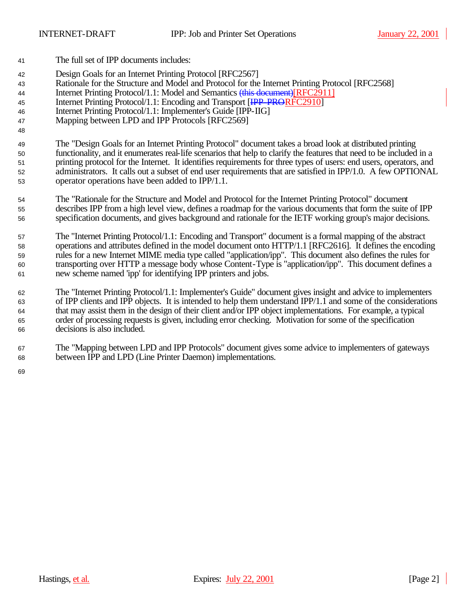- The full set of IPP documents includes:
- Design Goals for an Internet Printing Protocol [RFC2567]
- Rationale for the Structure and Model and Protocol for the Internet Printing Protocol [RFC2568]
- Internet Printing Protocol/1.1: Model and Semantics (this document)[RFC2911]
- 45 Internet Printing Protocol/1.1: Encoding and Transport [IPP-PRORFC2910]
- Internet Printing Protocol/1.1: Implementer's Guide [IPP-IIG]
- Mapping between LPD and IPP Protocols [RFC2569]

 The "Design Goals for an Internet Printing Protocol" document takes a broad look at distributed printing functionality, and it enumerates real-life scenarios that help to clarify the features that need to be included in a printing protocol for the Internet. It identifies requirements for three types of users: end users, operators, and administrators. It calls out a subset of end user requirements that are satisfied in IPP/1.0. A few OPTIONAL operator operations have been added to IPP/1.1.

- The "Rationale for the Structure and Model and Protocol for the Internet Printing Protocol" document describes IPP from a high level view, defines a roadmap for the various documents that form the suite of IPP specification documents, and gives background and rationale for the IETF working group's major decisions.
- The "Internet Printing Protocol/1.1: Encoding and Transport" document is a formal mapping of the abstract operations and attributes defined in the model document onto HTTP/1.1 [RFC2616]. It defines the encoding rules for a new Internet MIME media type called "application/ipp". This document also defines the rules for transporting over HTTP a message body whose Content-Type is "application/ipp". This document defines a new scheme named 'ipp' for identifying IPP printers and jobs.
- The "Internet Printing Protocol/1.1: Implementer's Guide" document gives insight and advice to implementers of IPP clients and IPP objects. It is intended to help them understand IPP/1.1 and some of the considerations that may assist them in the design of their client and/or IPP object implementations. For example, a typical order of processing requests is given, including error checking. Motivation for some of the specification decisions is also included.
- The "Mapping between LPD and IPP Protocols" document gives some advice to implementers of gateways between IPP and LPD (Line Printer Daemon) implementations.
-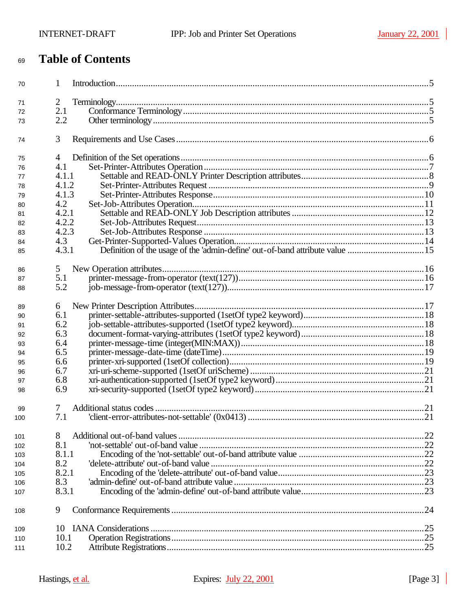# **Table of Contents**

| 70  | 1              |                                                                              |  |
|-----|----------------|------------------------------------------------------------------------------|--|
| 71  | $\overline{2}$ |                                                                              |  |
| 72  | 2.1            |                                                                              |  |
| 73  | 2.2            |                                                                              |  |
| 74  | 3              |                                                                              |  |
| 75  | 4              |                                                                              |  |
| 76  | 4.1            |                                                                              |  |
| 77  | 4.1.1          |                                                                              |  |
| 78  | 4.1.2          |                                                                              |  |
| 79  | 4.1.3          |                                                                              |  |
| 80  | 4.2            |                                                                              |  |
| 81  | 4.2.1          |                                                                              |  |
| 82  | 4.2.2          |                                                                              |  |
| 83  | 4.2.3          |                                                                              |  |
| 84  | 4.3            |                                                                              |  |
|     | 4.3.1          | Definition of the usage of the 'admin-define' out-of-band attribute value 15 |  |
| 85  |                |                                                                              |  |
| 86  | 5              |                                                                              |  |
| 87  | 5.1            |                                                                              |  |
| 88  | 5.2            |                                                                              |  |
| 89  | 6              |                                                                              |  |
| 90  | 6.1            |                                                                              |  |
| 91  | 6.2            |                                                                              |  |
| 92  | 6.3            |                                                                              |  |
| 93  | 6.4            |                                                                              |  |
| 94  | 6.5            |                                                                              |  |
| 95  | 6.6            |                                                                              |  |
| 96  | 6.7            |                                                                              |  |
| 97  | 6.8            |                                                                              |  |
| 98  | 6.9            |                                                                              |  |
|     |                |                                                                              |  |
| 99  | 7              |                                                                              |  |
| 100 | 7.1            |                                                                              |  |
| 101 | 8              |                                                                              |  |
| 102 | 8.1            |                                                                              |  |
| 103 | 8.1.1          |                                                                              |  |
| 104 | 8.2            |                                                                              |  |
| 105 | 8.2.1          |                                                                              |  |
| 106 | 8.3            |                                                                              |  |
| 107 | 8.3.1          |                                                                              |  |
| 108 | 9              |                                                                              |  |
|     |                |                                                                              |  |
| 109 | 10             |                                                                              |  |
| 110 | 10.1           |                                                                              |  |
| 111 | 10.2           |                                                                              |  |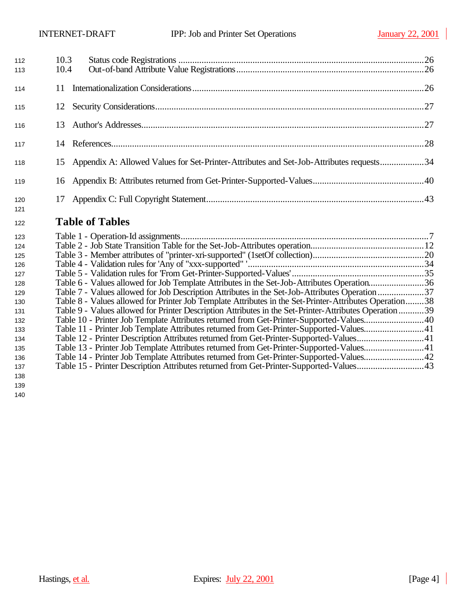| 112<br>113 | 10.3<br>10.4 |                                                                                         |  |
|------------|--------------|-----------------------------------------------------------------------------------------|--|
| 114        |              |                                                                                         |  |
| 115        | 12           |                                                                                         |  |
| 116        | 13           |                                                                                         |  |
| 117        | 14           |                                                                                         |  |
| 118        | 15           | Appendix A: Allowed Values for Set-Printer-Attributes and Set-Job-Attributes requests34 |  |
| 119        |              |                                                                                         |  |
| 120<br>121 | 17           |                                                                                         |  |

# **Table of Tables**

| 123 |                                                                                                        |  |
|-----|--------------------------------------------------------------------------------------------------------|--|
| 124 |                                                                                                        |  |
| 125 |                                                                                                        |  |
| 126 |                                                                                                        |  |
| 127 |                                                                                                        |  |
| 128 | Table 6 - Values allowed for Job Template Attributes in the Set-Job-Attributes Operation36             |  |
| 129 | Table 7 - Values allowed for Job Description Attributes in the Set-Job-Attributes Operation 37         |  |
| 130 | Table 8 - Values allowed for Printer Job Template Attributes in the Set-Printer-Attributes Operation38 |  |
| 131 | Table 9 - Values allowed for Printer Description Attributes in the Set-Printer-Attributes Operation39  |  |
| 132 | Table 10 - Printer Job Template Attributes returned from Get-Printer-Supported-Values40                |  |
| 133 | Table 11 - Printer Job Template Attributes returned from Get-Printer-Supported-Values41                |  |
| 134 | Table 12 - Printer Description Attributes returned from Get-Printer-Supported-Values41                 |  |
| 135 | Table 13 - Printer Job Template Attributes returned from Get-Printer-Supported-Values41                |  |
| 136 | Table 14 - Printer Job Template Attributes returned from Get-Printer-Supported-Values42                |  |
| 137 | Table 15 - Printer Description Attributes returned from Get-Printer-Supported-Values43                 |  |
| 100 |                                                                                                        |  |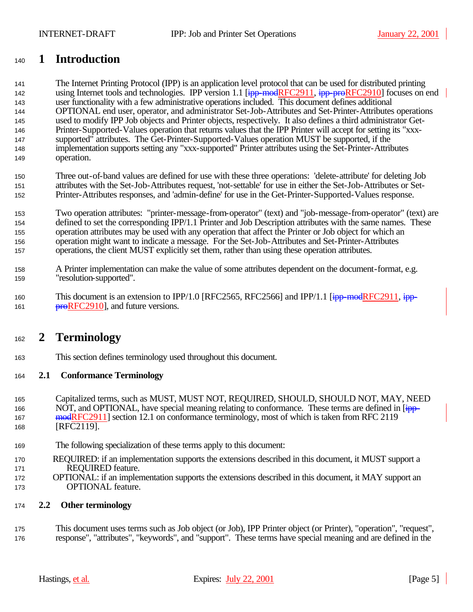# **1 Introduction**

 The Internet Printing Protocol (IPP) is an application level protocol that can be used for distributed printing 142 using Internet tools and technologies. IPP version 1.1 [ipp-modRFC2911, ipp-proRFC2910] focuses on end user functionality with a few administrative operations included. This document defines additional OPTIONAL end user, operator, and administrator Set-Job-Attributes and Set-Printer-Attributes operations used to modify IPP Job objects and Printer objects, respectively. It also defines a third administrator Get- Printer-Supported-Values operation that returns values that the IPP Printer will accept for setting its "xxx- supported" attributes. The Get-Printer-Supported-Values operation MUST be supported, if the implementation supports setting any "xxx-supported" Printer attributes using the Set-Printer-Attributes operation.

 Three out-of-band values are defined for use with these three operations: 'delete-attribute' for deleting Job attributes with the Set-Job-Attributes request, 'not-settable' for use in either the Set-Job-Attributes or Set-Printer-Attributes responses, and 'admin-define' for use in the Get-Printer-Supported-Values response.

 Two operation attributes: "printer-message-from-operator" (text) and "job-message-from-operator" (text) are defined to set the corresponding IPP/1.1 Printer and Job Description attributes with the same names. These operation attributes may be used with any operation that affect the Printer or Job object for which an operation might want to indicate a message. For the Set-Job-Attributes and Set-Printer-Attributes operations, the client MUST explicitly set them, rather than using these operation attributes.

- A Printer implementation can make the value of some attributes dependent on the document-format, e.g. "resolution-supported".
- 160 This document is an extension to IPP/1.0 [RFC2565, RFC2566] and IPP/1.1 [ipp-modRFC2911, ipp-**proRFC2910**, and future versions.

# **2 Terminology**

This section defines terminology used throughout this document.

## **2.1 Conformance Terminology**

- Capitalized terms, such as MUST, MUST NOT, REQUIRED, SHOULD, SHOULD NOT, MAY, NEED 166 NOT, and OPTIONAL, have special meaning relating to conformance. These terms are defined in [ipp-167 mode RFC 2911] section 12.1 on conformance terminology, most of which is taken from RFC 2119 [RFC2119].
- The following specialization of these terms apply to this document:
- REQUIRED: if an implementation supports the extensions described in this document, it MUST support a REQUIRED feature.
- OPTIONAL: if an implementation supports the extensions described in this document, it MAY support an OPTIONAL feature.

## **2.2 Other terminology**

 This document uses terms such as Job object (or Job), IPP Printer object (or Printer), "operation", "request", response", "attributes", "keywords", and "support". These terms have special meaning and are defined in the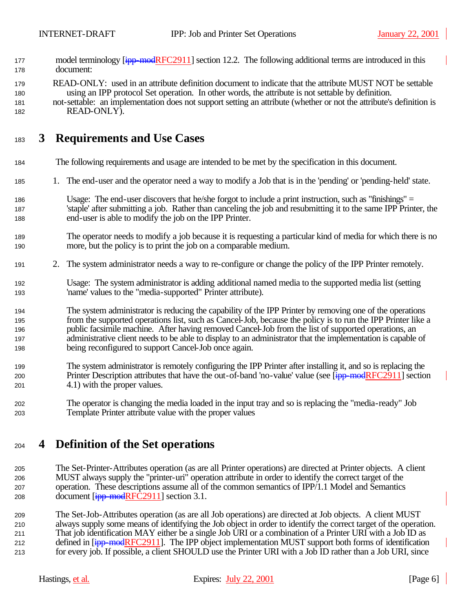- 177 model terminology [ipp-modRFC2911] section 12.2. The following additional terms are introduced in this document:
- READ-ONLY: used in an attribute definition document to indicate that the attribute MUST NOT be settable using an IPP protocol Set operation. In other words, the attribute is not settable by definition. not-settable: an implementation does not support setting an attribute (whether or not the attribute's definition is READ-ONLY).

# **3 Requirements and Use Cases**

- The following requirements and usage are intended to be met by the specification in this document.
- 1. The end-user and the operator need a way to modify a Job that is in the 'pending' or 'pending-held' state.
- Usage: The end-user discovers that he/she forgot to include a print instruction, such as "finishings" = 'staple' after submitting a job. Rather than canceling the job and resubmitting it to the same IPP Printer, the end-user is able to modify the job on the IPP Printer.
- The operator needs to modify a job because it is requesting a particular kind of media for which there is no more, but the policy is to print the job on a comparable medium.
- 2. The system administrator needs a way to re-configure or change the policy of the IPP Printer remotely.
- Usage: The system administrator is adding additional named media to the supported media list (setting 'name' values to the "media-supported" Printer attribute).
- The system administrator is reducing the capability of the IPP Printer by removing one of the operations from the supported operations list, such as Cancel-Job, because the policy is to run the IPP Printer like a public facsimile machine. After having removed Cancel-Job from the list of supported operations, an administrative client needs to be able to display to an administrator that the implementation is capable of being reconfigured to support Cancel-Job once again.
- The system administrator is remotely configuring the IPP Printer after installing it, and so is replacing the 200 Printer Description attributes that have the out-of-band 'no-value' value (see [ipp-modRFC2911] section 4.1) with the proper values.
- The operator is changing the media loaded in the input tray and so is replacing the "media-ready" Job Template Printer attribute value with the proper values

# **4 Definition of the Set operations**

- The Set-Printer-Attributes operation (as are all Printer operations) are directed at Printer objects. A client MUST always supply the "printer-uri" operation attribute in order to identify the correct target of the operation. These descriptions assume all of the common semantics of IPP/1.1 Model and Semantics 208 document  $[ipp$ -modRFC2911] section 3.1.
- The Set-Job-Attributes operation (as are all Job operations) are directed at Job objects. A client MUST always supply some means of identifying the Job object in order to identify the correct target of the operation. That job identification MAY either be a single Job URI or a combination of a Printer URI with a Job ID as 212 defined in [ipp-modRFC2911]. The IPP object implementation MUST support both forms of identification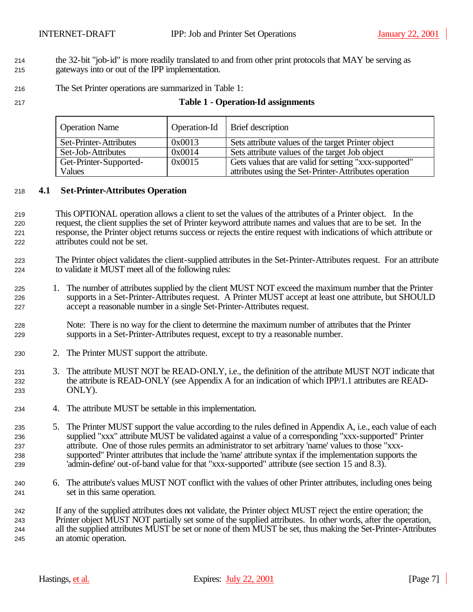- the 32-bit "job-id" is more readily translated to and from other print protocols that MAY be serving as
- gateways into or out of the IPP implementation.
- The Set Printer operations are summarized in Table 1:
- 

## **Table 1 - Operation-Id assignments**

| <b>Operation Name</b>  |        | Operation-Id   Brief description                       |
|------------------------|--------|--------------------------------------------------------|
| Set-Printer-Attributes | 0x0013 | Sets attribute values of the target Printer object     |
| Set-Job-Attributes     | 0x0014 | Sets attribute values of the target Job object         |
| Get-Printer-Supported- | 0x0015 | Gets values that are valid for setting "xxx-supported" |
| Values                 |        | attributes using the Set-Printer-Attributes operation  |

## **4.1 Set-Printer-Attributes Operation**

- This OPTIONAL operation allows a client to set the values of the attributes of a Printer object. In the request, the client supplies the set of Printer keyword attribute names and values that are to be set. In the response, the Printer object returns success or rejects the entire request with indications of which attribute or attributes could not be set.
- The Printer object validates the client-supplied attributes in the Set-Printer-Attributes request. For an attribute to validate it MUST meet all of the following rules:
- 1. The number of attributes supplied by the client MUST NOT exceed the maximum number that the Printer supports in a Set-Printer-Attributes request. A Printer MUST accept at least one attribute, but SHOULD accept a reasonable number in a single Set-Printer-Attributes request.
- Note: There is no way for the client to determine the maximum number of attributes that the Printer supports in a Set-Printer-Attributes request, except to try a reasonable number.
- 2. The Printer MUST support the attribute.
- 3. The attribute MUST NOT be READ-ONLY, i.e., the definition of the attribute MUST NOT indicate that the attribute is READ-ONLY (see Appendix A for an indication of which IPP/1.1 attributes are READ-ONLY).
- 4. The attribute MUST be settable in this implementation.
- 5. The Printer MUST support the value according to the rules defined in Appendix A, i.e., each value of each supplied "xxx" attribute MUST be validated against a value of a corresponding "xxx-supported" Printer attribute. One of those rules permits an administrator to set arbitrary 'name' values to those "xxx- supported" Printer attributes that include the 'name' attribute syntax if the implementation supports the 'admin-define' out-of-band value for that "xxx-supported" attribute (see section 15 and 8.3).
- 6. The attribute's values MUST NOT conflict with the values of other Printer attributes, including ones being set in this same operation.
- If any of the supplied attributes does not validate, the Printer object MUST reject the entire operation; the Printer object MUST NOT partially set some of the supplied attributes. In other words, after the operation, all the supplied attributes MUST be set or none of them MUST be set, thus making the Set-Printer-Attributes an atomic operation.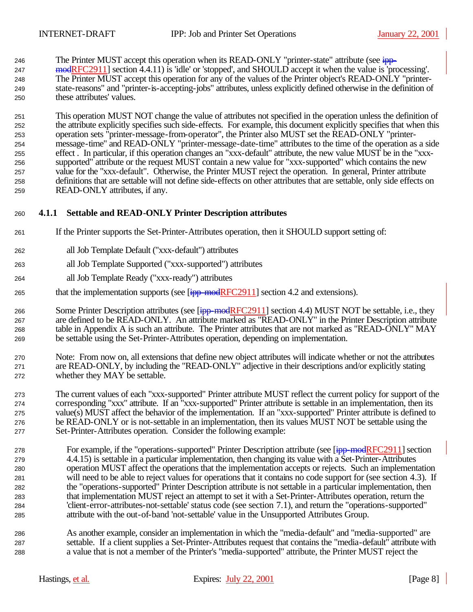246 The Printer MUST accept this operation when its READ-ONLY "printer-state" attribute (see  $\frac{1}{2}$  modRFC2911] section 4.4.11) is 'idle' or 'stopped', and SHOULD accept it when the value is 'processing'. The Printer MUST accept this operation for any of the values of the Printer object's READ-ONLY "printer- state-reasons" and "printer-is-accepting-jobs" attributes, unless explicitly defined otherwise in the definition of these attributes' values.

 This operation MUST NOT change the value of attributes not specified in the operation unless the definition of the attribute explicitly specifies such side-effects. For example, this document explicitly specifies that when this operation sets "printer-message-from-operator", the Printer also MUST set the READ-ONLY "printer- message-time" and READ-ONLY "printer-message-date-time" attributes to the time of the operation as a side effect . In particular, if this operation changes an "xxx-default" attribute, the new value MUST be in the "xxx- supported" attribute or the request MUST contain a new value for "xxx-supported" which contains the new value for the "xxx-default". Otherwise, the Printer MUST reject the operation. In general, Printer attribute definitions that are settable will not define side-effects on other attributes that are settable, only side effects on READ-ONLY attributes, if any.

## **4.1.1 Settable and READ-ONLY Printer Description attributes**

- If the Printer supports the Set-Printer-Attributes operation, then it SHOULD support setting of:
- all Job Template Default ("xxx-default") attributes
- all Job Template Supported ("xxx-supported") attributes
- all Job Template Ready ("xxx-ready") attributes
- 265 that the implementation supports (see  $\boxed{\frac{1}{1}$  mod RFC2911] section 4.2 and extensions).

266 Some Printer Description attributes (see [ipp-modRFC2911] section 4.4) MUST NOT be settable, i.e., they are defined to be READ-ONLY. An attribute marked as "READ-ONLY" in the Printer Description attribute table in Appendix A is such an attribute. The Printer attributes that are not marked as "READ-ONLY" MAY be settable using the Set-Printer-Attributes operation, depending on implementation.

 Note: From now on, all extensions that define new object attributes will indicate whether or not the attributes are READ-ONLY, by including the "READ-ONLY" adjective in their descriptions and/or explicitly stating whether they MAY be settable.

 The current values of each "xxx-supported" Printer attribute MUST reflect the current policy for support of the corresponding "xxx" attribute. If an "xxx-supported" Printer attribute is settable in an implementation, then its value(s) MUST affect the behavior of the implementation. If an "xxx-supported" Printer attribute is defined to be READ-ONLY or is not-settable in an implementation, then its values MUST NOT be settable using the Set-Printer-Attributes operation. Consider the following example:

- 278 For example, if the "operations-supported" Printer Description attribute (see [ipp-modRFC2911] section 4.4.15) is settable in a particular implementation, then changing its value with a Set-Printer-Attributes operation MUST affect the operations that the implementation accepts or rejects. Such an implementation will need to be able to reject values for operations that it contains no code support for (see section 4.3). If the "operations-supported" Printer Description attribute is not settable in a particular implementation, then that implementation MUST reject an attempt to set it with a Set-Printer-Attributes operation, return the 'client-error-attributes-not-settable' status code (see section 7.1), and return the "operations-supported" attribute with the out-of-band 'not-settable' value in the Unsupported Attributes Group.
- As another example, consider an implementation in which the "media-default" and "media-supported" are settable. If a client supplies a Set-Printer-Attributes request that contains the "media-default" attribute with a value that is not a member of the Printer's "media-supported" attribute, the Printer MUST reject the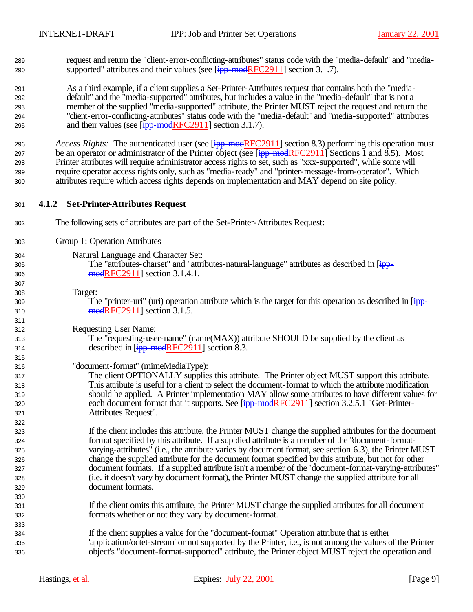request and return the "client-error-conflicting-attributes" status code with the "media-default" and "media-290 supported" attributes and their values (see  $\frac{1}{2}$  = modRFC2911] section 3.1.7).

 As a third example, if a client supplies a Set-Printer-Attributes request that contains both the "media- default" and the "media-supported" attributes, but includes a value in the "media-default" that is not a member of the supplied "media-supported" attribute, the Printer MUST reject the request and return the "client-error-conflicting-attributes" status code with the "media-default" and "media-supported" attributes 295 and their values (see  $\left[\frac{ipp \mod{RFC2911}}{2}\right]$  section 3.1.7).

*Access Rights:* The authenticated user (see [ipp-modRFC2911] section 8.3) performing this operation must 297 be an operator or administrator of the Printer object (see  $\frac{1}{1}$ pp-modRFC2911] Sections 1 and 8.5). Most Printer attributes will require administrator access rights to set, such as "xxx-supported", while some will require operator access rights only, such as "media-ready" and "printer-message-from-operator". Which attributes require which access rights depends on implementation and MAY depend on site policy.

- **4.1.2 Set-Printer-Attributes Request**
- The following sets of attributes are part of the Set-Printer-Attributes Request:
- Group 1: Operation Attributes
- Natural Language and Character Set:
- 305 The "attributes-charset" and "attributes-natural-language" attributes as described in [ipp-306 modRFC2911] section 3.1.4.1.
- Target:

309 The "printer-uri" (uri) operation attribute which is the target for this operation as described in [ipp-**modRFC2911** section 3.1.5.

Requesting User Name:

 The "requesting-user-name" (name(MAX)) attribute SHOULD be supplied by the client as 314 described in [ipp-modRFC2911] section 8.3.

## "document-format" (mimeMediaType):

 The client OPTIONALLY supplies this attribute. The Printer object MUST support this attribute. This attribute is useful for a client to select the document-format to which the attribute modification should be applied. A Printer implementation MAY allow some attributes to have different values for 320 each document format that it supports. See [ipp-modRFC2911] section 3.2.5.1 "Get-Printer-Attributes Request".

 If the client includes this attribute, the Printer MUST change the supplied attributes for the document format specified by this attribute. If a supplied attribute is a member of the "document-format- varying-attributes" (i.e., the attribute varies by document format, see section 6.3), the Printer MUST change the supplied attribute for the document format specified by this attribute, but not for other document formats. If a supplied attribute isn't a member of the "document-format-varying-attributes" (i.e. it doesn't vary by document format), the Printer MUST change the supplied attribute for all document formats.

- If the client omits this attribute, the Printer MUST change the supplied attributes for all document formats whether or not they vary by document-format.
- If the client supplies a value for the "document-format" Operation attribute that is either 'application/octet-stream' or not supported by the Printer, i.e., is not among the values of the Printer object's "document-format-supported" attribute, the Printer object MUST reject the operation and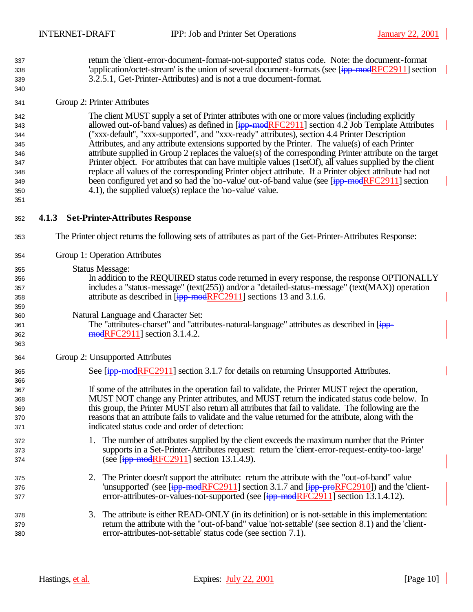return the 'client-error-document-format-not-supported' status code. Note: the document-format 338 'application/octet-stream' is the union of several document-formats (see [ipp-modRFC2911] section 3.2.5.1, Get-Printer-Attributes) and is not a true document-format.

## Group 2: Printer Attributes

 The client MUST supply a set of Printer attributes with one or more values (including explicitly 343 allowed out-of-band values) as defined in [ipp-modRFC2911] section 4.2 Job Template Attributes ("xxx-default", "xxx-supported", and "xxx-ready" attributes), section 4.4 Printer Description Attributes, and any attribute extensions supported by the Printer. The value(s) of each Printer attribute supplied in Group 2 replaces the value(s) of the corresponding Printer attribute on the target Printer object. For attributes that can have multiple values (1setOf), all values supplied by the client replace all values of the corresponding Printer object attribute. If a Printer object attribute had not 349 been configured yet and so had the 'no-value' out-of-band value (see [ipp-modRFC2911] section 4.1), the supplied value(s) replace the 'no-value' value.

## **4.1.3 Set-Printer-Attributes Response**

- The Printer object returns the following sets of attributes as part of the Get-Printer-Attributes Response:
- Group 1: Operation Attributes
- Status Message:

 In addition to the REQUIRED status code returned in every response, the response OPTIONALLY includes a "status-message" (text(255)) and/or a "detailed-status-message" (text(MAX)) operation 358 attribute as described in [ipp-modRFC2911] sections 13 and 3.1.6.

## Natural Language and Character Set:

361 The "attributes-charset" and "attributes-natural-language" attributes as described in [ipp-**modRFC2911** section 3.1.4.2.

- Group 2: Unsupported Attributes
- 365 See [ipp-modRFC2911] section 3.1.7 for details on returning Unsupported Attributes.

 If some of the attributes in the operation fail to validate, the Printer MUST reject the operation, MUST NOT change any Printer attributes, and MUST return the indicated status code below. In this group, the Printer MUST also return all attributes that fail to validate. The following are the reasons that an attribute fails to validate and the value returned for the attribute, along with the indicated status code and order of detection:

- 1. The number of attributes supplied by the client exceeds the maximum number that the Printer supports in a Set-Printer-Attributes request: return the 'client-error-request-entity-too-large' 374 (see  $\text{[ipp-modelRFC2911]}$  section 13.1.4.9).
- 2. The Printer doesn't support the attribute: return the attribute with the "out-of-band" value 376 'unsupported' (see [ipp-modRFC2911] section 3.1.7 and [ipp-proRFC2910]) and the 'client-377 error-attributes-or-values-not-supported (see [ipp-modRFC2911] section 13.1.4.12).
- 378 378 378 3. The attribute is either READ-ONLY (in its definition) or is not-settable in this implementation: return the attribute with the "out-of-band" value 'not-settable' (see section 8.1) and the 'client-error-attributes-not-settable' status code (see section 7.1).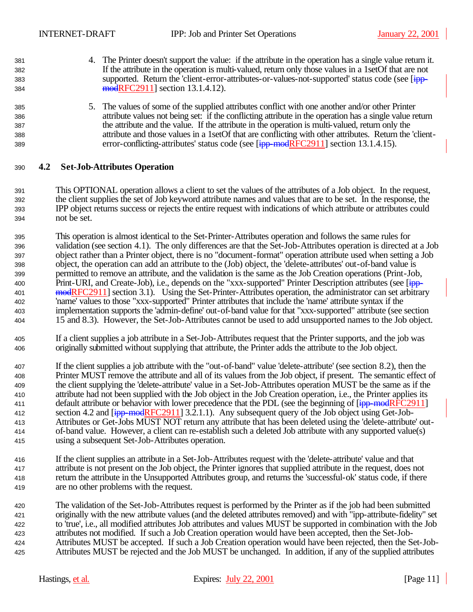- 4. The Printer doesn't support the value: if the attribute in the operation has a single value return it. If the attribute in the operation is multi-valued, return only those values in a 1setOf that are not 383 supported. Return the 'client-error-attributes-or-values-not-supported' status code (see [ipp-**modRFC2911** section 13.1.4.12).
- 5. The values of some of the supplied attributes conflict with one another and/or other Printer attribute values not being set: if the conflicting attribute in the operation has a single value return the attribute and the value. If the attribute in the operation is multi-valued, return only the attribute and those values in a 1setOf that are conflicting with other attributes. Return the 'client-389 error-conflicting-attributes' status code (see [ipp-modRFC2911] section 13.1.4.15).

## **4.2 Set-Job-Attributes Operation**

- This OPTIONAL operation allows a client to set the values of the attributes of a Job object. In the request, the client supplies the set of Job keyword attribute names and values that are to be set. In the response, the IPP object returns success or rejects the entire request with indications of which attribute or attributes could not be set.
- This operation is almost identical to the Set-Printer-Attributes operation and follows the same rules for validation (see section 4.1). The only differences are that the Set-Job-Attributes operation is directed at a Job object rather than a Printer object, there is no "document-format" operation attribute used when setting a Job object, the operation can add an attribute to the (Job) object, the 'delete-attributes' out-of-band value is permitted to remove an attribute, and the validation is the same as the Job Creation operations (Print-Job, 400 Print-URI, and Create-Job), i.e., depends on the "xxx-supported" Printer Description attributes (see [ipp-401 modRFC2911] section 3.1). Using the Set-Printer-Attributes operation, the administrator can set arbitrary 'name' values to those "xxx-supported" Printer attributes that include the 'name' attribute syntax if the implementation supports the 'admin-define' out-of-band value for that "xxx-supported" attribute (see section 15 and 8.3). However, the Set-Job-Attributes cannot be used to add unsupported names to the Job object.
- If a client supplies a job attribute in a Set-Job-Attributes request that the Printer supports, and the job was originally submitted without supplying that attribute, the Printer adds the attribute to the Job object.
- If the client supplies a job attribute with the "out-of-band" value 'delete-attribute' (see section 8.2), then the Printer MUST remove the attribute and all of its values from the Job object, if present. The semantic effect of the client supplying the 'delete-attribute' value in a Set-Job-Attributes operation MUST be the same as if the attribute had not been supplied with the Job object in the Job Creation operation, i.e., the Printer applies its 411 default attribute or behavior with lower precedence that the PDL (see the beginning of  $\frac{1}{1}$ pp-modRFC2911] 412 section 4.2 and  $\overline{[ipp\text{-}modRFC2911] }$  3.2.1.1). Any subsequent query of the Job object using Get-Job- Attributes or Get-Jobs MUST NOT return any attribute that has been deleted using the 'delete-attribute' out- of-band value. However, a client can re-establish such a deleted Job attribute with any supported value(s) using a subsequent Set-Job-Attributes operation.
- If the client supplies an attribute in a Set-Job-Attributes request with the 'delete-attribute' value and that attribute is not present on the Job object, the Printer ignores that supplied attribute in the request, does not return the attribute in the Unsupported Attributes group, and returns the 'successful-ok' status code, if there are no other problems with the request.
- The validation of the Set-Job-Attributes request is performed by the Printer as if the job had been submitted originally with the new attribute values (and the deleted attributes removed) and with "ipp-attribute-fidelity" set to 'true', i.e., all modified attributes Job attributes and values MUST be supported in combination with the Job attributes not modified. If such a Job Creation operation would have been accepted, then the Set-Job- Attributes MUST be accepted. If such a Job Creation operation would have been rejected, then the Set-Job-Attributes MUST be rejected and the Job MUST be unchanged. In addition, if any of the supplied attributes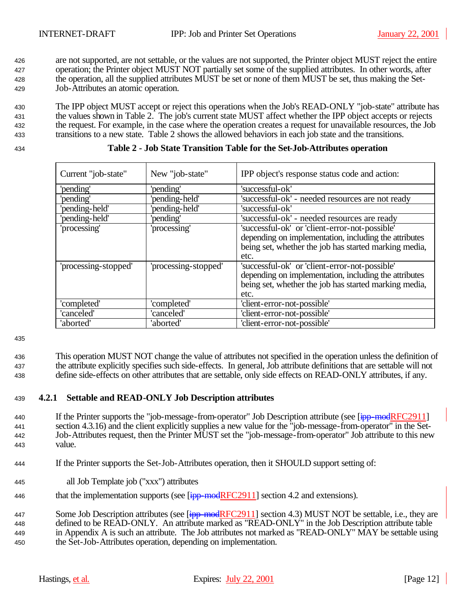are not supported, are not settable, or the values are not supported, the Printer object MUST reject the entire operation; the Printer object MUST NOT partially set some of the supplied attributes. In other words, after the operation, all the supplied attributes MUST be set or none of them MUST be set, thus making the Set-Job-Attributes an atomic operation.

 The IPP object MUST accept or reject this operations when the Job's READ-ONLY "job-state" attribute has the values shown in Table 2. The job's current state MUST affect whether the IPP object accepts or rejects the request. For example, in the case where the operation creates a request for unavailable resources, the Job transitions to a new state. Table 2 shows the allowed behaviors in each job state and the transitions.

|  |  | Table 2 - Job State Transition Table for the Set-Job-Attributes operation |  |
|--|--|---------------------------------------------------------------------------|--|
|  |  |                                                                           |  |

| Current "job-state"  | New "job-state"      | IPP object's response status code and action:                                                                                                                            |
|----------------------|----------------------|--------------------------------------------------------------------------------------------------------------------------------------------------------------------------|
| 'pending'            | 'pending'            | 'successful-ok'                                                                                                                                                          |
| 'pending'            | 'pending-held'       | 'successful-ok' - needed resources are not ready                                                                                                                         |
| 'pending-held'       | 'pending-held'       | 'successful-ok'                                                                                                                                                          |
| 'pending-held'       | 'pending'            | 'successful-ok' - needed resources are ready                                                                                                                             |
| 'processing'         | 'processing'         | 'successful-ok' or 'client-error-not-possible'<br>depending on implementation, including the attributes<br>being set, whether the job has started marking media,<br>etc. |
| 'processing-stopped' | 'processing-stopped' | 'successful-ok' or 'client-error-not-possible'<br>depending on implementation, including the attributes<br>being set, whether the job has started marking media,<br>etc. |
| 'completed'          | 'completed'          | 'client-error-not-possible'                                                                                                                                              |
| 'canceled'           | 'canceled'           | 'client-error-not-possible'                                                                                                                                              |
| 'aborted'            | 'aborted'            | 'client-error-not-possible'                                                                                                                                              |

435

<sup>436</sup> This operation MUST NOT change the value of attributes not specified in the operation unless the definition of <sup>437</sup> the attribute explicitly specifies such side-effects. In general, Job attribute definitions that are settable will not <sup>438</sup> define side-effects on other attributes that are settable, only side effects on READ-ONLY attributes, if any.

## <sup>439</sup> **4.2.1 Settable and READ-ONLY Job Description attributes**

- 440 If the Printer supports the "job-message-from-operator" Job Description attribute (see [ipp-modRFC2911] <sup>441</sup> section 4.3.16) and the client explicitly supplies a new value for the "job-message-from-operator" in the Set-<sup>442</sup> Job-Attributes request, then the Printer MUST set the "job-message-from-operator" Job attribute to this new <sup>443</sup> value.
- <sup>444</sup> If the Printer supports the Set-Job-Attributes operation, then it SHOULD support setting of:
- <sup>445</sup> all Job Template job ("xxx") attributes
- 446 that the implementation supports (see  $\boxed{\frac{1}{1}$  mod RFC2911] section 4.2 and extensions).

447 Some Job Description attributes (see [ $i$ pp-modRFC2911] section 4.3) MUST NOT be settable, i.e., they are defined to be READ-ONLY. An attribute marked as "READ-ONLY" in the Job Description attribute table in Appendix A is such an attribute. The Job attributes not marked as "READ-ONLY" MAY be settable using the Set-Job-Attributes operation, depending on implementation.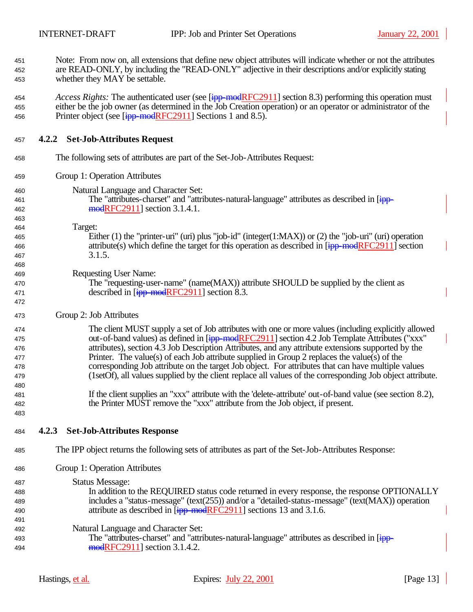| 451<br>452<br>453                      | Note: From now on, all extensions that define new object attributes will indicate whether or not the attributes<br>are READ-ONLY, by including the "READ-ONLY" adjective in their descriptions and/or explicitly stating<br>whether they MAY be settable.                                                                                                                                                                                                                                                                                                                                                                      |
|----------------------------------------|--------------------------------------------------------------------------------------------------------------------------------------------------------------------------------------------------------------------------------------------------------------------------------------------------------------------------------------------------------------------------------------------------------------------------------------------------------------------------------------------------------------------------------------------------------------------------------------------------------------------------------|
| 454<br>455<br>456                      | <i>Access Rights:</i> The authenticated user (see [ipp-modRFC2911] section 8.3) performing this operation must<br>either be the job owner (as determined in the Job Creation operation) or an operator or administrator of the<br>Printer object (see $\overline{[ipp \mod{RFC2911}}$ Sections 1 and 8.5).                                                                                                                                                                                                                                                                                                                     |
| 457                                    | 4.2.2 Set-Job-Attributes Request                                                                                                                                                                                                                                                                                                                                                                                                                                                                                                                                                                                               |
| 458                                    | The following sets of attributes are part of the Set-Job-Attributes Request:                                                                                                                                                                                                                                                                                                                                                                                                                                                                                                                                                   |
| 459                                    | Group 1: Operation Attributes                                                                                                                                                                                                                                                                                                                                                                                                                                                                                                                                                                                                  |
| 460<br>461<br>462<br>463               | Natural Language and Character Set:<br>The "attributes-charset" and "attributes-natural-language" attributes as described in [ipp-<br>modRFC2911] section 3.1.4.1.                                                                                                                                                                                                                                                                                                                                                                                                                                                             |
| 464<br>465<br>466<br>467               | Target:<br>Either (1) the "printer-uri" (uri) plus "job-id" (integer(1:MAX)) or (2) the "job-uri" (uri) operation<br>attribute(s) which define the target for this operation as described in $\frac{1}{1}$ = modRFC2911] section<br>3.1.5.                                                                                                                                                                                                                                                                                                                                                                                     |
| 468<br>469<br>470<br>471<br>472        | <b>Requesting User Name:</b><br>The "requesting-user-name" (name(MAX)) attribute SHOULD be supplied by the client as<br>described in $[ipp$ -modRFC2911] section 8.3.                                                                                                                                                                                                                                                                                                                                                                                                                                                          |
| 473                                    | Group 2: Job Attributes                                                                                                                                                                                                                                                                                                                                                                                                                                                                                                                                                                                                        |
| 474<br>475<br>476<br>477<br>478<br>479 | The client MUST supply a set of Job attributes with one or more values (including explicitly allowed<br>out-of-band values) as defined in [ipp-modRFC2911] section 4.2 Job Template Attributes ("xxx"<br>attributes), section 4.3 Job Description Attributes, and any attribute extensions supported by the<br>Printer. The value(s) of each Job attribute supplied in Group 2 replaces the value(s) of the<br>corresponding Job attribute on the target Job object. For attributes that can have multiple values<br>(1setOf), all values supplied by the client replace all values of the corresponding Job object attribute. |
| 480<br>481<br>482<br>483               | If the client supplies an "xxx" attribute with the 'delete-attribute' out-of-band value (see section 8.2),<br>the Printer MUST remove the "xxx" attribute from the Job object, if present.                                                                                                                                                                                                                                                                                                                                                                                                                                     |
| 484                                    | <b>Set-Job-Attributes Response</b><br>4.2.3                                                                                                                                                                                                                                                                                                                                                                                                                                                                                                                                                                                    |
| 485                                    | The IPP object returns the following sets of attributes as part of the Set-Job-Attributes Response:                                                                                                                                                                                                                                                                                                                                                                                                                                                                                                                            |
| 486                                    | Group 1: Operation Attributes                                                                                                                                                                                                                                                                                                                                                                                                                                                                                                                                                                                                  |
| 487<br>488<br>489<br>490               | <b>Status Message:</b><br>In addition to the REQUIRED status code returned in every response, the response OPTIONALLY<br>includes a "status-message" (text(255)) and/or a "detailed-status-message" (text(MAX)) operation<br>attribute as described in [ipp-modRFC2911] sections 13 and 3.1.6.                                                                                                                                                                                                                                                                                                                                 |
| 491<br>492<br>493<br>494               | Natural Language and Character Set:<br>The "attributes-charset" and "attributes-natural-language" attributes as described in [ipp-<br>$mod$ RFC2911] section 3.1.4.2.                                                                                                                                                                                                                                                                                                                                                                                                                                                          |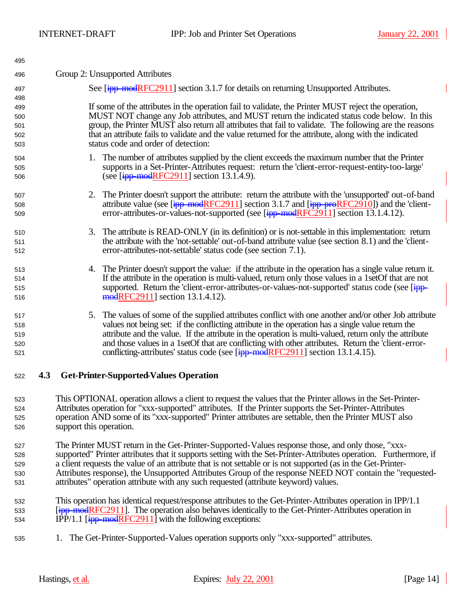| 495 |     |                                                                                                                            |
|-----|-----|----------------------------------------------------------------------------------------------------------------------------|
| 496 |     | Group 2: Unsupported Attributes                                                                                            |
| 497 |     | See [ipp-modRFC2911] section 3.1.7 for details on returning Unsupported Attributes.                                        |
| 498 |     |                                                                                                                            |
| 499 |     | If some of the attributes in the operation fail to validate, the Printer MUST reject the operation,                        |
| 500 |     | MUST NOT change any Job attributes, and MUST return the indicated status code below. In this                               |
| 501 |     | group, the Printer MUST also return all attributes that fail to validate. The following are the reasons                    |
| 502 |     | that an attribute fails to validate and the value returned for the attribute, along with the indicated                     |
| 503 |     | status code and order of detection:                                                                                        |
| 504 |     | 1. The number of attributes supplied by the client exceeds the maximum number that the Printer                             |
| 505 |     | supports in a Set-Printer-Attributes request: return the 'client-error-request-entity-too-large'                           |
| 506 |     | (see $[ipp$ -modRFC2911] section 13.1.4.9).                                                                                |
| 507 |     | The Printer doesn't support the attribute: return the attribute with the 'unsupported' out-of-band<br>2.                   |
| 508 |     | attribute value (see $[\frac{ipp \mod{RFC2911}}{sp}]\$ section 3.1.7 and $[\frac{ipp \mod{RFC2910}}{sp}]$ and the 'client- |
| 509 |     | error-attributes-or-values-not-supported (see [ipp-modRFC2911] section 13.1.4.12).                                         |
| 510 |     | The attribute is READ-ONLY (in its definition) or is not-settable in this implementation: return<br>3.                     |
| 511 |     | the attribute with the 'not-settable' out-of-band attribute value (see section 8.1) and the 'client-                       |
| 512 |     | error-attributes-not-settable' status code (see section 7.1).                                                              |
| 513 |     | The Printer doesn't support the value: if the attribute in the operation has a single value return it.<br>4.               |
| 514 |     | If the attribute in the operation is multi-valued, return only those values in a 1setOf that are not                       |
| 515 |     | supported. Return the 'client-error-attributes-or-values-not-supported' status code (see [ipp-                             |
| 516 |     | modRFC2911] section 13.1.4.12).                                                                                            |
| 517 |     | 5. The values of some of the supplied attributes conflict with one another and/or other Job attribute                      |
| 518 |     | values not being set: if the conflicting attribute in the operation has a single value return the                          |
| 519 |     | attribute and the value. If the attribute in the operation is multi-valued, return only the attribute                      |
| 520 |     | and those values in a 1setOf that are conflicting with other attributes. Return the 'client-error-                         |
| 521 |     | conflicting-attributes' status code (see [ipp-modRFC2911] section 13.1.4.15).                                              |
| 522 | 4.3 | <b>Get-Printer-Supported-Values Operation</b>                                                                              |
| 523 |     | This OPTIONAL operation allows a client to request the values that the Printer allows in the Set-Printer-                  |

- Attributes operation for "xxx-supported" attributes. If the Printer supports the Set-Printer-Attributes operation AND some of its "xxx-supported" Printer attributes are settable, then the Printer MUST also support this operation.
- The Printer MUST return in the Get-Printer-Supported-Values response those, and only those, "xxx- supported" Printer attributes that it supports setting with the Set-Printer-Attributes operation. Furthermore, if a client requests the value of an attribute that is not settable or is not supported (as in the Get-Printer- Attributes response), the Unsupported Attributes Group of the response NEED NOT contain the "requested-attributes" operation attribute with any such requested (attribute keyword) values.
- This operation has identical request/response attributes to the Get-Printer-Attributes operation in IPP/1.1 **EinmodRFC2911**. The operation also behaves identically to the Get-Printer-Attributes operation in 534 IPP/1.1  $\left[\frac{1}{1}P\right]^{1}$  with the following exceptions:
- 1. The Get-Printer-Supported-Values operation supports only "xxx-supported" attributes.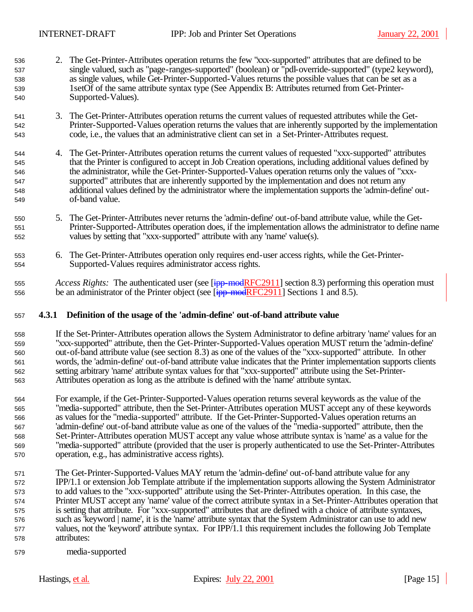- 2. The Get-Printer-Attributes operation returns the few "xxx-supported" attributes that are defined to be single valued, such as "page-ranges-supported" (boolean) or "pdl-override-supported" (type2 keyword), as single values, while Get-Printer-Supported-Values returns the possible values that can be set as a 1setOf of the same attribute syntax type (See Appendix B: Attributes returned from Get-Printer-Supported-Values).
- 3. The Get-Printer-Attributes operation returns the current values of requested attributes while the Get- Printer-Supported-Values operation returns the values that are inherently supported by the implementation code, i.e., the values that an administrative client can set in a Set-Printer-Attributes request.
- 4. The Get-Printer-Attributes operation returns the current values of requested "xxx-supported" attributes that the Printer is configured to accept in Job Creation operations, including additional values defined by the administrator, while the Get-Printer-Supported-Values operation returns only the values of "xxx- supported" attributes that are inherently supported by the implementation and does not return any additional values defined by the administrator where the implementation supports the 'admin-define' out-of-band value.
- 5. The Get-Printer-Attributes never returns the 'admin-define' out-of-band attribute value, while the Get- Printer-Supported-Attributes operation does, if the implementation allows the administrator to define name values by setting that "xxx-supported" attribute with any 'name' value(s).
- 6. The Get-Printer-Attributes operation only requires end-user access rights, while the Get-Printer-Supported-Values requires administrator access rights.
- *Access Rights:* The authenticated user (see [ipp-modRFC2911] section 8.3) performing this operation must 556 be an administrator of the Printer object (see  $\frac{1}{1}$  = modRFC2911] Sections 1 and 8.5).

## **4.3.1 Definition of the usage of the 'admin-define' out-of-band attribute value**

- If the Set-Printer-Attributes operation allows the System Administrator to define arbitrary 'name' values for an "xxx-supported" attribute, then the Get-Printer-Supported-Values operation MUST return the 'admin-define' out-of-band attribute value (see section 8.3) as one of the values of the "xxx-supported" attribute. In other words, the 'admin-define' out-of-band attribute value indicates that the Printer implementation supports clients setting arbitrary 'name' attribute syntax values for that "xxx-supported" attribute using the Set-Printer-Attributes operation as long as the attribute is defined with the 'name' attribute syntax.
- For example, if the Get-Printer-Supported-Values operation returns several keywords as the value of the "media-supported" attribute, then the Set-Printer-Attributes operation MUST accept any of these keywords as values for the "media-supported" attribute. If the Get-Printer-Supported-Values operation returns an 'admin-define' out-of-band attribute value as one of the values of the "media-supported" attribute, then the Set-Printer-Attributes operation MUST accept any value whose attribute syntax is 'name' as a value for the "media-supported" attribute (provided that the user is properly authenticated to use the Set-Printer-Attributes operation, e.g., has administrative access rights).
- The Get-Printer-Supported-Values MAY return the 'admin-define' out-of-band attribute value for any IPP/1.1 or extension Job Template attribute if the implementation supports allowing the System Administrator to add values to the "xxx-supported" attribute using the Set-Printer-Attributes operation. In this case, the Printer MUST accept any 'name' value of the correct attribute syntax in a Set-Printer-Attributes operation that is setting that attribute. For "xxx-supported" attributes that are defined with a choice of attribute syntaxes, such as 'keyword | name', it is the 'name' attribute syntax that the System Administrator can use to add new values, not the 'keyword' attribute syntax. For IPP/1.1 this requirement includes the following Job Template attributes:
- media-supported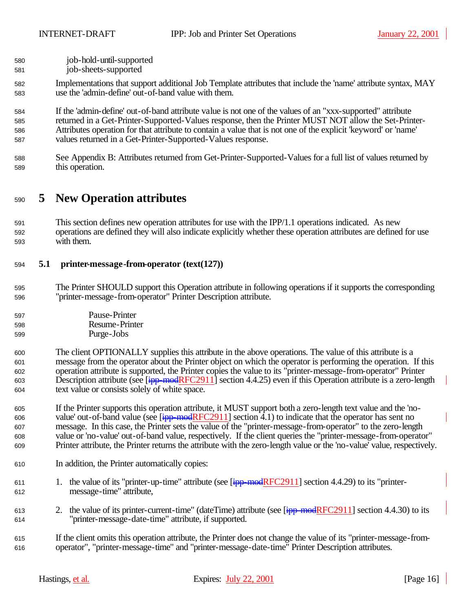| 580 | job-hold-until-supported |
|-----|--------------------------|
| 581 | job-sheets-supported     |

- Implementations that support additional Job Template attributes that include the 'name' attribute syntax, MAY use the 'admin-define' out-of-band value with them.
- If the 'admin-define' out-of-band attribute value is not one of the values of an "xxx-supported" attribute returned in a Get-Printer-Supported-Values response, then the Printer MUST NOT allow the Set-Printer- Attributes operation for that attribute to contain a value that is not one of the explicit 'keyword' or 'name' values returned in a Get-Printer-Supported-Values response.
- See Appendix B: Attributes returned from Get-Printer-Supported-Values for a full list of values returned by this operation.

## **5 New Operation attributes**

 This section defines new operation attributes for use with the IPP/1.1 operations indicated. As new operations are defined they will also indicate explicitly whether these operation attributes are defined for use with them.

## **5.1 printer-message-from-operator (text(127))**

- The Printer SHOULD support this Operation attribute in following operations if it supports the corresponding "printer-message-from-operator" Printer Description attribute.
- Pause-Printer Resume-Printer
- Purge-Jobs
- The client OPTIONALLY supplies this attribute in the above operations. The value of this attribute is a message from the operator about the Printer object on which the operator is performing the operation. If this operation attribute is supported, the Printer copies the value to its "printer-message-from-operator" Printer 603 Description attribute (see [ipp-modRFC2911] section 4.4.25) even if this Operation attribute is a zero-length text value or consists solely of white space.
- If the Printer supports this operation attribute, it MUST support both a zero-length text value and the 'no-606 value' out-of-band value (see  $\overline{[ipp \mod{RFC2911}}$  section 4.1) to indicate that the operator has sent no message. In this case, the Printer sets the value of the "printer-message-from-operator" to the zero-length value or 'no-value' out-of-band value, respectively. If the client queries the "printer-message-from-operator" Printer attribute, the Printer returns the attribute with the zero-length value or the 'no-value' value, respectively.
- In addition, the Printer automatically copies:
- 611 1. the value of its "printer-up-time" attribute (see  $\frac{1}{1}$  = modRFC2911] section 4.4.29) to its "printer-message-time" attribute,
- 613 2. the value of its printer-current-time" (dateTime) attribute (see  $\boxed{\text{ipp-model}$ RFC2911] section 4.4.30) to its "printer-message-date-time" attribute, if supported.
- If the client omits this operation attribute, the Printer does not change the value of its "printer-message-from-operator", "printer-message-time" and "printer-message-date-time" Printer Description attributes.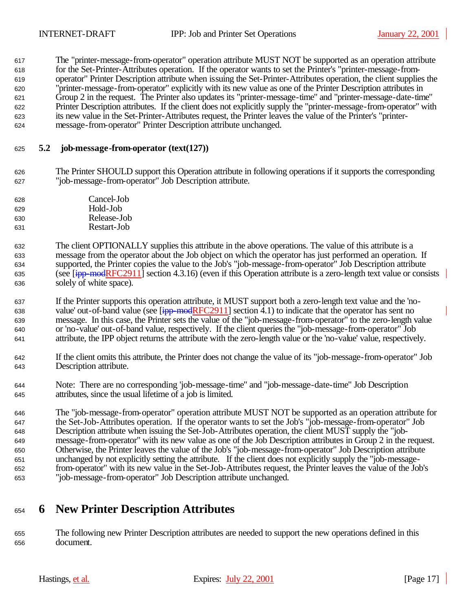The "printer-message-from-operator" operation attribute MUST NOT be supported as an operation attribute for the Set-Printer-Attributes operation. If the operator wants to set the Printer's "printer-message-from- operator" Printer Description attribute when issuing the Set-Printer-Attributes operation, the client supplies the "printer-message-from-operator" explicitly with its new value as one of the Printer Description attributes in Group 2 in the request. The Printer also updates its "printer-message-time" and "printer-message-date-time" Printer Description attributes. If the client does not explicitly supply the "printer-message-from-operator" with its new value in the Set-Printer-Attributes request, the Printer leaves the value of the Printer's "printer-message-from-operator" Printer Description attribute unchanged.

## **5.2 job-message-from-operator (text(127))**

- The Printer SHOULD support this Operation attribute in following operations if it supports the corresponding "job-message-from-operator" Job Description attribute.
- Cancel-Job Hold-Job Release-Job Restart-Job
- The client OPTIONALLY supplies this attribute in the above operations. The value of this attribute is a message from the operator about the Job object on which the operator has just performed an operation. If supported, the Printer copies the value to the Job's "job-message-from-operator" Job Description attribute 635 (see  $\left[\frac{ipp\text{-}modRFC2911}\right]$  section 4.3.16) (even if this Operation attribute is a zero-length text value or consists solely of white space).
- If the Printer supports this operation attribute, it MUST support both a zero-length text value and the 'no-638 value' out-of-band value (see  $\frac{1}{1}$  = modRFC2911] section 4.1) to indicate that the operator has sent no message. In this case, the Printer sets the value of the "job-message-from-operator" to the zero-length value or 'no-value' out-of-band value, respectively. If the client queries the "job-message-from-operator" Job attribute, the IPP object returns the attribute with the zero-length value or the 'no-value' value, respectively.
- If the client omits this attribute, the Printer does not change the value of its "job-message-from-operator" Job Description attribute.
- Note: There are no corresponding 'job-message-time" and "job-message-date-time" Job Description attributes, since the usual lifetime of a job is limited.
- The "job-message-from-operator" operation attribute MUST NOT be supported as an operation attribute for the Set-Job-Attributes operation. If the operator wants to set the Job's "job-message-from-operator" Job Description attribute when issuing the Set-Job-Attributes operation, the client MUST supply the "job- message-from-operator" with its new value as one of the Job Description attributes in Group 2 in the request. Otherwise, the Printer leaves the value of the Job's "job-message-from-operator" Job Description attribute unchanged by not explicitly setting the attribute. If the client does not explicitly supply the "job-message- from-operator" with its new value in the Set-Job-Attributes request, the Printer leaves the value of the Job's "job-message-from-operator" Job Description attribute unchanged.

# **6 New Printer Description Attributes**

 The following new Printer Description attributes are needed to support the new operations defined in this document.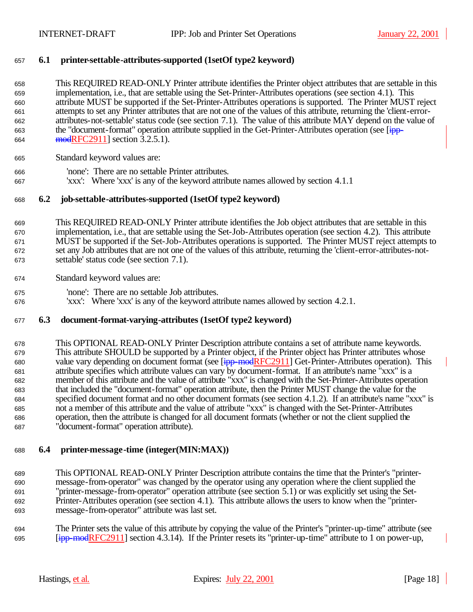## **6.1 printer-settable-attributes-supported (1setOf type2 keyword)**

 This REQUIRED READ-ONLY Printer attribute identifies the Printer object attributes that are settable in this implementation, i.e., that are settable using the Set-Printer-Attributes operations (see section 4.1). This attribute MUST be supported if the Set-Printer-Attributes operations is supported. The Printer MUST reject attempts to set any Printer attributes that are not one of the values of this attribute, returning the 'client-error- attributes-not-settable' status code (see section 7.1). The value of this attribute MAY depend on the value of 663 the "document-format" operation attribute supplied in the Get-Printer-Attributes operation (see [ipp-664 modRFC2911] section 3.2.5.1).

- Standard keyword values are:
- 'none': There are no settable Printer attributes.
- 'xxx': Where 'xxx' is any of the keyword attribute names allowed by section 4.1.1

## **6.2 job-settable-attributes-supported (1setOf type2 keyword)**

 This REQUIRED READ-ONLY Printer attribute identifies the Job object attributes that are settable in this implementation, i.e., that are settable using the Set-Job-Attributes operation (see section 4.2). This attribute MUST be supported if the Set-Job-Attributes operations is supported. The Printer MUST reject attempts to set any Job attributes that are not one of the values of this attribute, returning the 'client-error-attributes-not-settable' status code (see section 7.1).

- Standard keyword values are:
- 'none': There are no settable Job attributes.
- 'xxx': Where 'xxx' is any of the keyword attribute names allowed by section 4.2.1.

## **6.3 document-format-varying-attributes (1setOf type2 keyword)**

 This OPTIONAL READ-ONLY Printer Description attribute contains a set of attribute name keywords. This attribute SHOULD be supported by a Printer object, if the Printer object has Printer attributes whose 680 value vary depending on document format (see [ipp-modRFC2911] Get-Printer-Attributes operation). This attribute specifies which attribute values can vary by document-format. If an attribute's name "xxx" is a member of this attribute and the value of attribute "xxx" is changed with the Set-Printer-Attributes operation that included the "document-format" operation attribute, then the Printer MUST change the value for the specified document format and no other document formats (see section 4.1.2). If an attribute's name "xxx" is not a member of this attribute and the value of attribute "xxx" is changed with the Set-Printer-Attributes operation, then the attribute is changed for all document formats (whether or not the client supplied the "document-format" operation attribute).

## **6.4 printer-message-time (integer(MIN:MAX))**

 This OPTIONAL READ-ONLY Printer Description attribute contains the time that the Printer's "printer- message-from-operator" was changed by the operator using any operation where the client supplied the "printer-message-from-operator" operation attribute (see section 5.1) or was explicitly set using the Set- Printer-Attributes operation (see section 4.1). This attribute allows the users to know when the "printer-message-from-operator" attribute was last set.

 The Printer sets the value of this attribute by copying the value of the Printer's "printer-up-time" attribute (see 695  $\left[\frac{ipp\text{-}modRFC2911}{ipp\text{-}modRFC2911}\right]$  section 4.3.14). If the Printer resets its "printer-up-time" attribute to 1 on power-up,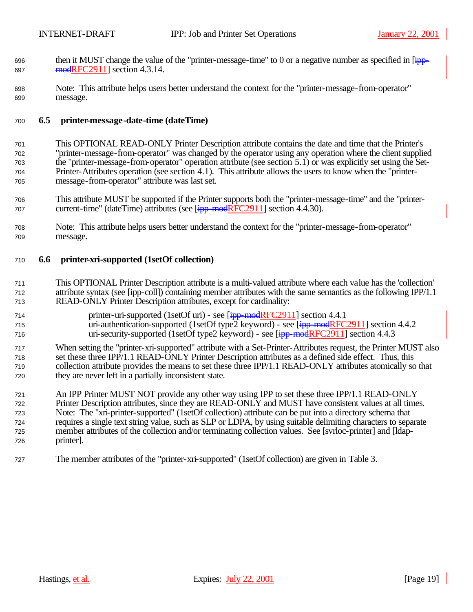- 696 then it MUST change the value of the "printer-message-time" to 0 or a negative number as specified in  $\overline{1}$ 697 modRFC2911] section 4.3.14.
- Note: This attribute helps users better understand the context for the "printer-message-from-operator" message.

## **6.5 printer-message-date-time (dateTime)**

- This OPTIONAL READ-ONLY Printer Description attribute contains the date and time that the Printer's "printer-message-from-operator" was changed by the operator using any operation where the client supplied the "printer-message-from-operator" operation attribute (see section 5.1) or was explicitly set using the Set- Printer-Attributes operation (see section 4.1). This attribute allows the users to know when the "printer-message-from-operator" attribute was last set.
- This attribute MUST be supported if the Printer supports both the "printer-message-time" and the "printer-707 current-time" (dateTime) attributes (see [ipp-modRFC2911] section 4.4.30).
- Note: This attribute helps users better understand the context for the "printer-message-from-operator" message.

## **6.6 printer-xri-supported (1setOf collection)**

- This OPTIONAL Printer Description attribute is a multi-valued attribute where each value has the 'collection' attribute syntax (see [ipp-coll]) containing member attributes with the same semantics as the following IPP/1.1 READ-ONLY Printer Description attributes, except for cardinality:
- 714 printer-uri-supported (1setOf uri) see [ipp-modRFC2911] section 4.4.1 715 uri-authentication-supported (1setOf type2 keyword) - see  $\frac{1}{1}$  = modRFC2911] section 4.4.2 716 uri-security-supported (1setOf type2 keyword) - see [ipp-modRFC2911] section 4.4.3
- When setting the "printer-xri-supported" attribute with a Set-Printer-Attributes request, the Printer MUST also set these three IPP/1.1 READ-ONLY Printer Description attributes as a defined side effect. Thus, this collection attribute provides the means to set these three IPP/1.1 READ-ONLY attributes atomically so that they are never left in a partially inconsistent state.
- An IPP Printer MUST NOT provide any other way using IPP to set these three IPP/1.1 READ-ONLY Printer Description attributes, since they are READ-ONLY and MUST have consistent values at all times. Note: The "xri-printer-supported" (1setOf collection) attribute can be put into a directory schema that requires a single text string value, such as SLP or LDPA, by using suitable delimiting characters to separate member attributes of the collection and/or terminating collection values. See [svrloc-printer] and [ldap-printer].
- The member attributes of the "printer-xri-supported" (1setOf collection) are given in Table 3.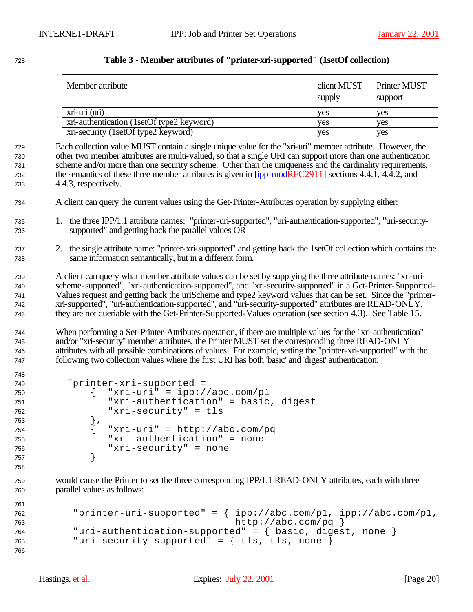| Member attribute                          | client MUST<br>supply | Printer MUST<br>support |
|-------------------------------------------|-----------------------|-------------------------|
| $xri$ - $uri$ $(iuri)$                    | yes                   | ves                     |
| xri-authentication (1setOf type2 keyword) | ves                   | ves                     |
| xri-security (1setOf type2 keyword)       | ves                   | ves                     |

## **Table 3 - Member attributes of "printer-xri-supported" (1setOf collection)**

 Each collection value MUST contain a single unique value for the "xri-uri" member attribute. However, the other two member attributes are multi-valued, so that a single URI can support more than one authentication scheme and/or more than one security scheme. Other than the uniqueness and the cardinality requirements, 732 the semantics of these three member attributes is given in  $[ipp\text{-}modRFC2911]$  sections 4.4.1, 4.4.2, and 4.4.3, respectively.

- A client can query the current values using the Get-Printer-Attributes operation by supplying either:
- 1. the three IPP/1.1 attribute names: "printer-uri-supported", "uri-authentication-supported", "uri-security-supported" and getting back the parallel values OR
- 2. the single attribute name: "printer-xri-supported" and getting back the 1setOf collection which contains the same information semantically, but in a different form.

 A client can query what member attribute values can be set by supplying the three attribute names: "xri-uri- scheme-supported", "xri-authentication-supported", and "xri-security-supported" in a Get-Printer-Supported- Values request and getting back the uriScheme and type2 keyword values that can be set. Since the "printer- xri-supported", "uri-authentication-supported", and "uri-security-supported" attributes are READ-ONLY, they are not queriable with the Get-Printer-Supported-Values operation (see section 4.3). See Table 15.

 When performing a Set-Printer-Attributes operation, if there are multiple values for the "xri-authentication" and/or "xri-security" member attributes, the Printer MUST set the corresponding three READ-ONLY attributes with all possible combinations of values. For example, setting the "printer-xri-supported" with the following two collection values where the first URI has both 'basic' and 'digest' authentication:

```
749 "printer-xri-supported = 
750 { "xri-uri" = ipp://abc.com/p1
751 "xri-authentication" = basic, digest
752 "xri-security" = tls
753 },
754 \{ "xri-uri" = http://abc.com/pq
755 "xri-authentication" = none
756 "xri-security" = none
757 }
758
```
 would cause the Printer to set the three corresponding IPP/1.1 READ-ONLY attributes, each with three parallel values as follows:

```
761
762 "printer-uri-supported" = { ipp://abc.com/p1, ipp://abc.com/p1,
763 http://abc.com/pq }
764 "uri-authentication-supported" = { basic, digest, none }
765 "uri-security-supported" = { tls, tls, none }
766
```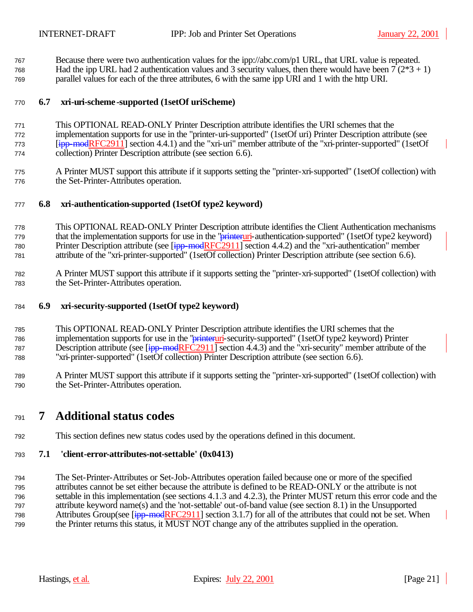Because there were two authentication values for the ipp://abc.com/p1 URL, that URL value is repeated.

768 Had the ipp URL had 2 authentication values and 3 security values, then there would have been  $7(2*3 + 1)$ parallel values for each of the three attributes, 6 with the same ipp URI and 1 with the http URI.

## **6.7 xri-uri-scheme-supported (1setOf uriScheme)**

- This OPTIONAL READ-ONLY Printer Description attribute identifies the URI schemes that the implementation supports for use in the "printer-uri-supported" (1setOf uri) Printer Description attribute (see 773 [ipp-modRFC2911] section 4.4.1) and the "xri-uri" member attribute of the "xri-printer-supported" (1setOf collection) Printer Description attribute (see section 6.6).
- A Printer MUST support this attribute if it supports setting the "printer-xri-supported" (1setOf collection) with the Set-Printer-Attributes operation.

## **6.8 xri-authentication-supported (1setOf type2 keyword)**

- This OPTIONAL READ-ONLY Printer Description attribute identifies the Client Authentication mechanisms 779 that the implementation supports for use in the "**printeruri**-authentication-supported" (1setOf type2 keyword) 780 Printer Description attribute (see [ipp-modRFC2911] section 4.4.2) and the "xri-authentication" member attribute of the "xri-printer-supported" (1setOf collection) Printer Description attribute (see section 6.6).
- A Printer MUST support this attribute if it supports setting the "printer-xri-supported" (1setOf collection) with the Set-Printer-Attributes operation.
- **6.9 xri-security-supported (1setOf type2 keyword)**
- This OPTIONAL READ-ONLY Printer Description attribute identifies the URI schemes that the 786 implementation supports for use in the "*printeruri-security-supported"* (1setOf type2 keyword) Printer 787 Description attribute (see [ipp-modRFC2911] section 4.4.3) and the "xri-security" member attribute of the "xri-printer-supported" (1setOf collection) Printer Description attribute (see section 6.6).
- A Printer MUST support this attribute if it supports setting the "printer-xri-supported" (1setOf collection) with the Set-Printer-Attributes operation.

# **7 Additional status codes**

This section defines new status codes used by the operations defined in this document.

## **7.1 'client-error-attributes-not-settable' (0x0413)**

 The Set-Printer-Attributes or Set-Job-Attributes operation failed because one or more of the specified attributes cannot be set either because the attribute is defined to be READ-ONLY or the attribute is not settable in this implementation (see sections 4.1.3 and 4.2.3), the Printer MUST return this error code and the attribute keyword name(s) and the 'not-settable' out-of-band value (see section 8.1) in the Unsupported 798 Attributes Group(see  $\frac{1}{1}$  modRFC2911] section 3.1.7) for all of the attributes that could not be set. When the Printer returns this status, it MUST NOT change any of the attributes supplied in the operation.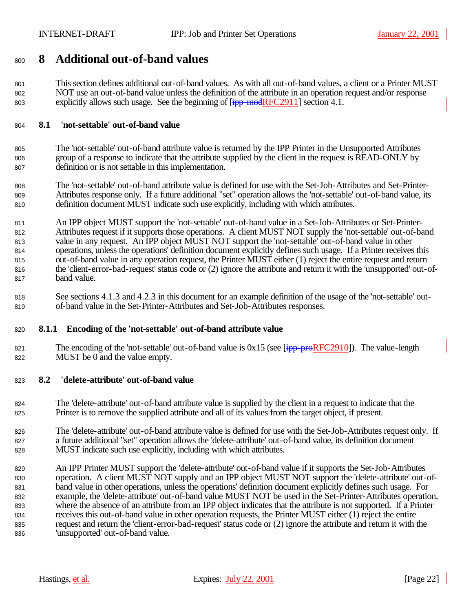# **8 Additional out-of-band values**

 This section defines additional out-of-band values. As with all out-of-band values, a client or a Printer MUST NOT use an out-of-band value unless the definition of the attribute in an operation request and/or response 803 explicitly allows such usage. See the beginning of  $\boxed{\text{ipp-model}$  modRFC2911] section 4.1.

## **8.1 'not-settable' out-of-band value**

 The 'not-settable' out-of-band attribute value is returned by the IPP Printer in the Unsupported Attributes group of a response to indicate that the attribute supplied by the client in the request is READ-ONLY by definition or is not settable in this implementation.

 The 'not-settable' out-of-band attribute value is defined for use with the Set-Job-Attributes and Set-Printer- Attributes response only. If a future additional "set" operation allows the 'not-settable' out-of-band value, its definition document MUST indicate such use explicitly, including with which attributes.

 An IPP object MUST support the 'not-settable' out-of-band value in a Set-Job-Attributes or Set-Printer- Attributes request if it supports those operations. A client MUST NOT supply the 'not-settable' out-of-band value in any request. An IPP object MUST NOT support the 'not-settable' out-of-band value in other operations, unless the operations' definition document explicitly defines such usage. If a Printer receives this out-of-band value in any operation request, the Printer MUST either (1) reject the entire request and return the 'client-error-bad-request' status code or (2) ignore the attribute and return it with the 'unsupported' out-of-band value.

 See sections 4.1.3 and 4.2.3 in this document for an example definition of the usage of the 'not-settable' out-of-band value in the Set-Printer-Attributes and Set-Job-Attributes responses.

## **8.1.1 Encoding of the 'not-settable' out-of-band attribute value**

821 The encoding of the 'not-settable' out-of-band value is  $0x15$  (see [ipp-proRFC2910]). The value-length MUST be 0 and the value empty.

## **8.2 'delete-attribute' out-of-band value**

 The 'delete-attribute' out-of-band attribute value is supplied by the client in a request to indicate that the Printer is to remove the supplied attribute and all of its values from the target object, if present.

 The 'delete-attribute' out-of-band attribute value is defined for use with the Set-Job-Attributes request only. If a future additional "set" operation allows the 'delete-attribute' out-of-band value, its definition document MUST indicate such use explicitly, including with which attributes.

 An IPP Printer MUST support the 'delete-attribute' out-of-band value if it supports the Set-Job-Attributes operation. A client MUST NOT supply and an IPP object MUST NOT support the 'delete-attribute' out-of- band value in other operations, unless the operations' definition document explicitly defines such usage. For example, the 'delete-attribute' out-of-band value MUST NOT be used in the Set-Printer-Attributes operation, where the absence of an attribute from an IPP object indicates that the attribute is not supported. If a Printer receives this out-of-band value in other operation requests, the Printer MUST either (1) reject the entire request and return the 'client-error-bad-request' status code or (2) ignore the attribute and return it with the 'unsupported' out-of-band value.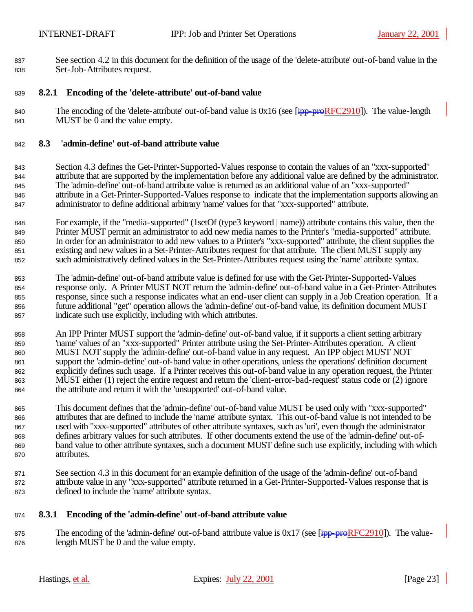See section 4.2 in this document for the definition of the usage of the 'delete-attribute' out-of-band value in the Set-Job-Attributes request.

## **8.2.1 Encoding of the 'delete-attribute' out-of-band value**

840 The encoding of the 'delete-attribute' out-of-band value is  $0x16$  (see [ipp-proRFC2910]). The value-length MUST be 0 and the value empty.

### **8.3 'admin-define' out-of-band attribute value**

- Section 4.3 defines the Get-Printer-Supported-Values response to contain the values of an "xxx-supported" attribute that are supported by the implementation before any additional value are defined by the administrator. The 'admin-define' out-of-band attribute value is returned as an additional value of an "xxx-supported" attribute in a Get-Printer-Supported-Values response to indicate that the implementation supports allowing an administrator to define additional arbitrary 'name' values for that "xxx-supported" attribute.
- For example, if the "media-supported" (1setOf (type3 keyword | name)) attribute contains this value, then the Printer MUST permit an administrator to add new media names to the Printer's "media-supported" attribute. In order for an administrator to add new values to a Printer's "xxx-supported" attribute, the client supplies the existing and new values in a Set-Printer-Attributes request for that attribute. The client MUST supply any such administratively defined values in the Set-Printer-Attributes request using the 'name' attribute syntax.
- The 'admin-define' out-of-band attribute value is defined for use with the Get-Printer-Supported-Values response only. A Printer MUST NOT return the 'admin-define' out-of-band value in a Get-Printer-Attributes response, since such a response indicates what an end-user client can supply in a Job Creation operation. If a future additional "get" operation allows the 'admin-define' out-of-band value, its definition document MUST indicate such use explicitly, including with which attributes.
- An IPP Printer MUST support the 'admin-define' out-of-band value, if it supports a client setting arbitrary 'name' values of an "xxx-supported" Printer attribute using the Set-Printer-Attributes operation. A client MUST NOT supply the 'admin-define' out-of-band value in any request. An IPP object MUST NOT support the 'admin-define' out-of-band value in other operations, unless the operations' definition document explicitly defines such usage. If a Printer receives this out-of-band value in any operation request, the Printer MUST either (1) reject the entire request and return the 'client-error-bad-request' status code or (2) ignore the attribute and return it with the 'unsupported' out-of-band value.
- This document defines that the 'admin-define' out-of-band value MUST be used only with "xxx-supported" attributes that are defined to include the 'name' attribute syntax. This out-of-band value is not intended to be used with "xxx-supported" attributes of other attribute syntaxes, such as 'uri', even though the administrator defines arbitrary values for such attributes. If other documents extend the use of the 'admin-define' out-of- band value to other attribute syntaxes, such a document MUST define such use explicitly, including with which attributes.
- See section 4.3 in this document for an example definition of the usage of the 'admin-define' out-of-band attribute value in any "xxx-supported" attribute returned in a Get-Printer-Supported-Values response that is defined to include the 'name' attribute syntax.

## **8.3.1 Encoding of the 'admin-define' out-of-band attribute value**

875 The encoding of the 'admin-define' out-of-band attribute value is  $0x17$  (see  $\overline{[\text{ipp-preRFC2910}]}$ ). The value-length MUST be 0 and the value empty.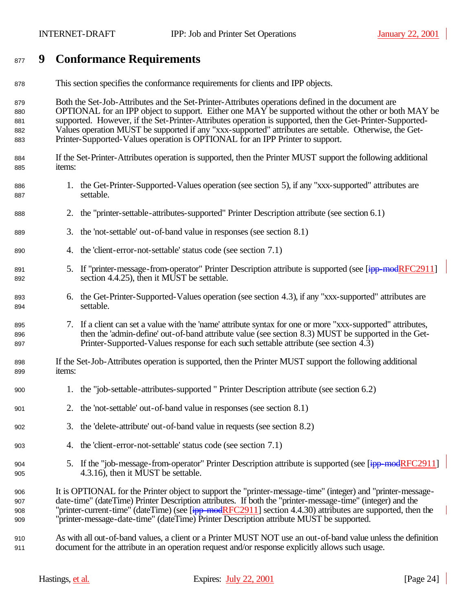# **9 Conformance Requirements**

| 878 |  |  | This section specifies the conformance requirements for clients and IPP objects. |  |
|-----|--|--|----------------------------------------------------------------------------------|--|
|     |  |  |                                                                                  |  |

 Both the Set-Job-Attributes and the Set-Printer-Attributes operations defined in the document are OPTIONAL for an IPP object to support. Either one MAY be supported without the other or both MAY be supported. However, if the Set-Printer-Attributes operation is supported, then the Get-Printer-Supported- Values operation MUST be supported if any "xxx-supported" attributes are settable. Otherwise, the Get-Printer-Supported-Values operation is OPTIONAL for an IPP Printer to support.

- If the Set-Printer-Attributes operation is supported, then the Printer MUST support the following additional items:
- 886 1. the Get-Printer-Supported-Values operation (see section 5), if any "xxx-supported" attributes are settable.
- 2. the "printer-settable-attributes-supported" Printer Description attribute (see section 6.1)
- 3. the 'not-settable' out-of-band value in responses (see section 8.1)
- 4. the 'client-error-not-settable' status code (see section 7.1)
- 891 5. If "printer-message-from-operator" Printer Description attribute is supported (see [ipp-modRFC2911] section 4.4.25), then it MUST be settable.
- 6. the Get-Printer-Supported-Values operation (see section 4.3), if any "xxx-supported" attributes are settable.
- 7. If a client can set a value with the 'name' attribute syntax for one or more "xxx-supported" attributes, then the 'admin-define' out-of-band attribute value (see section 8.3) MUST be supported in the Get-Printer-Supported-Values response for each such settable attribute (see section 4.3)
- If the Set-Job-Attributes operation is supported, then the Printer MUST support the following additional items:
- 1. the "job-settable-attributes-supported " Printer Description attribute (see section 6.2)
- 2. the 'not-settable' out-of-band value in responses (see section 8.1)
- 3. the 'delete-attribute' out-of-band value in requests (see section 8.2)
- 4. the 'client-error-not-settable' status code (see section 7.1)
- 904 5. If the "job-message-from-operator" Printer Description attribute is supported (see [ipp-modRFC2911] 4.3.16), then it MUST be settable.

 It is OPTIONAL for the Printer object to support the "printer-message-time" (integer) and "printer-message- date-time" (dateTime) Printer Description attributes. If both the "printer-message-time" (integer) and the 908 "printer-current-time" (dateTime) (see [ipp-modRFC2911] section 4.4.30) attributes are supported, then the "printer-message-date-time" (dateTime) Printer Description attribute MUST be supported.

 As with all out-of-band values, a client or a Printer MUST NOT use an out-of-band value unless the definition document for the attribute in an operation request and/or response explicitly allows such usage.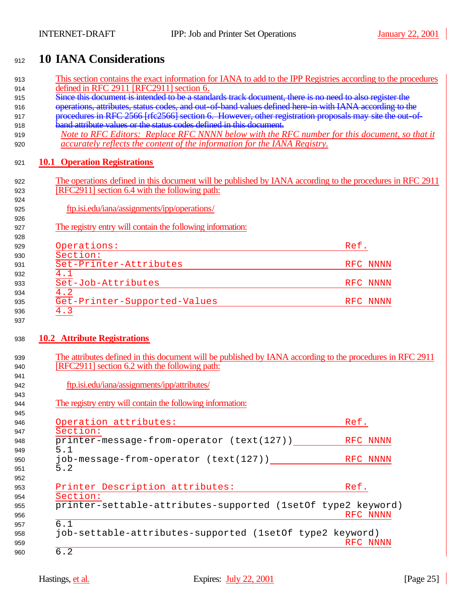# <sup>912</sup> **10 IANA Considerations**

| 913 | This section contains the exact information for IANA to add to the IPP Registries according to the procedures |          |
|-----|---------------------------------------------------------------------------------------------------------------|----------|
| 914 | defined in RFC 2911 [RFC2911] section 6.                                                                      |          |
| 915 | Since this document is intended to be a standards track document, there is no need to also register the       |          |
| 916 | operations, attributes, status codes, and out-of-band values defined here in with IANA according to the       |          |
| 917 | procedures in RFC 2566 [rfc2566] section 6. However, other registration proposals may site the out-of-        |          |
| 918 | <b>band attribute values or the status codes defined in this document.</b>                                    |          |
| 919 | Note to RFC Editors: Replace RFC NNNN below with the RFC number for this document, so that it                 |          |
| 920 | accurately reflects the content of the information for the IANA Registry.                                     |          |
| 921 | <b>10.1 Operation Registrations</b>                                                                           |          |
| 922 | The operations defined in this document will be published by IANA according to the procedures in RFC 2911     |          |
| 923 | [RFC2911] section 6.4 with the following path:                                                                |          |
| 924 |                                                                                                               |          |
| 925 | ftp.isi.edu/iana/assignments/ipp/operations/                                                                  |          |
| 926 |                                                                                                               |          |
| 927 | The registry entry will contain the following information:                                                    |          |
| 928 |                                                                                                               |          |
| 929 | Operations:                                                                                                   | Ref.     |
| 930 | Section:                                                                                                      |          |
| 931 | Set-Printer-Attributes                                                                                        | RFC NNNN |
| 932 | 4.1                                                                                                           |          |
| 933 | Set-Job-Attributes                                                                                            | RFC NNNN |
| 934 | 4.2                                                                                                           |          |
| 935 | Get-Printer-Supported-Values                                                                                  | RFC NNNN |
| 936 | 4.3                                                                                                           |          |
| 937 |                                                                                                               |          |
|     |                                                                                                               |          |
| 938 | <b>10.2</b> Attribute Registrations                                                                           |          |
|     |                                                                                                               |          |
| 939 | The attributes defined in this document will be published by IANA according to the procedures in RFC 2911     |          |
| 940 | [RFC2911] section 6.2 with the following path:                                                                |          |
| 941 |                                                                                                               |          |
| 942 | ftp.isi.edu/iana/assignments/ipp/attributes/                                                                  |          |
| 943 |                                                                                                               |          |
| 944 | The registry entry will contain the following information:                                                    |          |
| 945 |                                                                                                               |          |
| 946 | Operation attributes:                                                                                         | Ref.     |
| 947 | Section:                                                                                                      |          |
| 948 | printer-message-from-operator (text(127))                                                                     | RFC NNNN |
| 949 | 5.1                                                                                                           |          |
| 950 | job-message-from-operator (text(127))                                                                         | RFC NNNN |
| 951 | 5.2                                                                                                           |          |
| 952 |                                                                                                               |          |
| 953 | Printer Description attributes:                                                                               | Ref.     |
| 954 | Section:                                                                                                      |          |
| 955 | printer-settable-attributes-supported (1setOf type2 keyword)                                                  |          |
| 956 |                                                                                                               | RFC NNNN |
| 957 | 6.1                                                                                                           |          |
| 958 | job-settable-attributes-supported (1setOf type2 keyword)                                                      |          |
| 959 |                                                                                                               | RFC NNNN |
| 960 | 6.2                                                                                                           |          |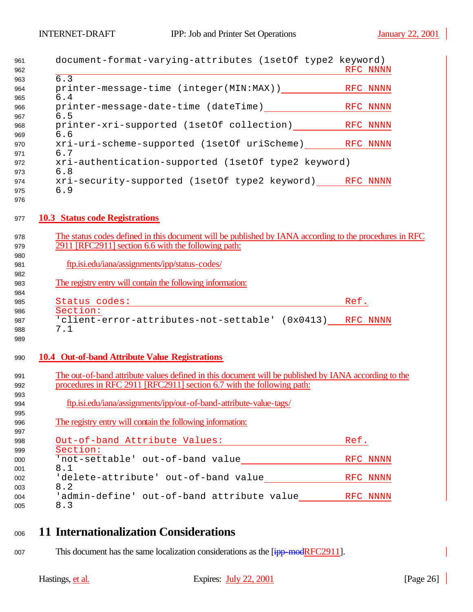| 961<br>962               | document-format-varying-attributes (1setOf type2 keyword)                                                                                                                     | RFC NNNN |
|--------------------------|-------------------------------------------------------------------------------------------------------------------------------------------------------------------------------|----------|
| 963<br>964<br>965        | $\overline{6.3}$<br>6.4                                                                                                                                                       |          |
| 966<br>967               | 6.5                                                                                                                                                                           |          |
| 968<br>969               | printer-xri-supported (1setOf collection) RFC NNNN<br>6.6                                                                                                                     |          |
| 970<br>971               | xri-uri-scheme-supported (1setOf uriScheme) RFC NNNN<br>6.7                                                                                                                   |          |
| 972<br>973               | xri-authentication-supported (1setOf type2 keyword)<br>6.8                                                                                                                    |          |
| 974<br>975<br>976        | xri-security-supported (1setOf type2 keyword) RFC NNNN<br>6.9                                                                                                                 |          |
| 977                      | <b>10.3 Status code Registrations</b>                                                                                                                                         |          |
| 978<br>979<br>980        | The status codes defined in this document will be published by IANA according to the procedures in RFC<br>2911 [RFC2911] section 6.6 with the following path:                 |          |
| 981<br>982               | ftp.isi.edu/iana/assignments/ipp/status-codes/                                                                                                                                |          |
| 983<br>984               | The registry entry will contain the following information:                                                                                                                    |          |
| 985                      | Status codes:<br><u> 1980 - Johann Stein, fransk politik (d. 1980)</u>                                                                                                        | Ref.     |
| 986<br>987<br>988<br>989 | Section:<br>'client-error-attributes-not-settable' (0x0413) RFC NNNN<br>7.1                                                                                                   |          |
| 990                      | <b>10.4 Out-of-band Attribute Value Registrations</b>                                                                                                                         |          |
| 991<br>992<br>993        | The out-of-band attribute values defined in this document will be published by IANA according to the<br>procedures in RFC 2911 [RFC2911] section 6.7 with the following path: |          |
| 994<br>995               | ftp.isi.edu/iana/assignments/ipp/out-of-band-attribute-value-tags/                                                                                                            |          |
| 996<br>997               | The registry entry will contain the following information:                                                                                                                    |          |
| 998<br>999               | Out-of-band Attribute Values:<br>Section:                                                                                                                                     | Ref.     |
| 000<br>001               | 8.1                                                                                                                                                                           | RFC NNNN |
| 002<br>003               | 8.2                                                                                                                                                                           |          |
| 004<br>005               | 'admin-define' out-of-band attribute value RFC NNNN<br>8.3                                                                                                                    |          |

- <sup>1006</sup> **11 Internationalization Considerations**
- 007 This document has the same localization considerations as the [ipp-modRFC2911].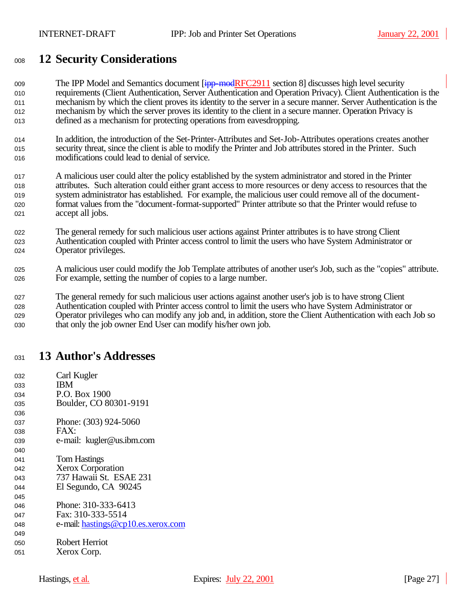# **12 Security Considerations**

009 The IPP Model and Semantics document [ipp-modRFC2911 section 8] discusses high level security requirements (Client Authentication, Server Authentication and Operation Privacy). Client Authentication is the mechanism by which the client proves its identity to the server in a secure manner. Server Authentication is the mechanism by which the server proves its identity to the client in a secure manner. Operation Privacy is defined as a mechanism for protecting operations from eavesdropping.

- In addition, the introduction of the Set-Printer-Attributes and Set-Job-Attributes operations creates another security threat, since the client is able to modify the Printer and Job attributes stored in the Printer. Such modifications could lead to denial of service.
- A malicious user could alter the policy established by the system administrator and stored in the Printer attributes. Such alteration could either grant access to more resources or deny access to resources that the system administrator has established. For example, the malicious user could remove all of the document- format values from the "document-format-supported" Printer attribute so that the Printer would refuse to accept all jobs.
- The general remedy for such malicious user actions against Printer attributes is to have strong Client Authentication coupled with Printer access control to limit the users who have System Administrator or 024 Operator privileges.
- A malicious user could modify the Job Template attributes of another user's Job, such as the "copies" attribute. For example, setting the number of copies to a large number.

 The general remedy for such malicious user actions against another user's job is to have strong Client Authentication coupled with Printer access control to limit the users who have System Administrator or Operator privileges who can modify any job and, in addition, store the Client Authentication with each Job so that only the job owner End User can modify his/her own job.

# **13 Author's Addresses**

032 Carl Kugler **IBM** 034 P.O. Box 1900 035 Boulder, CO 80301-9191 037 Phone: (303) 924-5060 038 FAX: e-mail: kugler@us.ibm.com 041 Tom Hastings Xerox Corporation 737 Hawaii St. ESAE 231 044 El Segundo, CA 90245 046 Phone: 310-333-6413 047 Fax: 310-333-5514 048 e-mail: hastings@cp10.es.xerox.com Robert Herriot 051 Xerox Corp.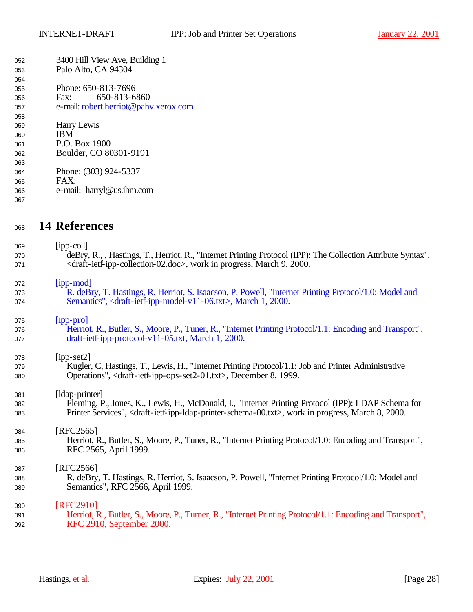| 052 | 3400 Hill View Ave, Building 1        |
|-----|---------------------------------------|
| 053 | Palo Alto, CA 94304                   |
| 054 |                                       |
| 055 | Phone: 650-813-7696                   |
| 056 | 650-813-6860<br>Fax:                  |
| 057 | e-mail: robert.herriot@pahv.xerox.com |
| 058 |                                       |
| 059 | Harry Lewis                           |
| 060 | <b>IBM</b>                            |
| 061 | P.O. Box 1900                         |
| 062 | Boulder, CO 80301-9191                |
| 063 |                                       |
| 064 | Phone: (303) 924-5337                 |
| 065 | FAX:                                  |
| 066 | e-mail: harryl@us.ibm.com             |
| 067 |                                       |

# <sup>1068</sup> **14 References**

| 069 | $[$ ipp-coll $]$                                                                                                                             |
|-----|----------------------------------------------------------------------------------------------------------------------------------------------|
| 070 | deBry, R., , Hastings, T., Herriot, R., "Internet Printing Protocol (IPP): The Collection Attribute Syntax",                                 |
| 071 | <draft-ietf-ipp-collection-02.doc>, work in progress, March 9, 2000.</draft-ietf-ipp-collection-02.doc>                                      |
| 072 | $f$ <sub>ipp</sub> -mod                                                                                                                      |
| 073 | R. deBry, T. Hastings, R. Herriot, S. Isaacson, P. Powell, "Internet Printing Protocol/1.0: Model and                                        |
| 074 | Semantics", <draft-ietf-ipp-model-v11-06.txt>, March 1, 2000.</draft-ietf-ipp-model-v11-06.txt>                                              |
| 075 | $[$ ipp pro $]$                                                                                                                              |
| 076 | Herriot, R., Butler, S., Moore, P., Tuner, R., "Internet Printing Protocol/1.1: Encoding and Transport",                                     |
| 077 | draft-ietf-ipp-protocol-v11-05.txt, March 1, 2000.                                                                                           |
| 078 | $[$ ipp-set $2]$                                                                                                                             |
| 079 | Kugler, C, Hastings, T., Lewis, H., "Internet Printing Protocol/1.1: Job and Printer Administrative                                          |
| 080 | Operations", <draft-ietf-ipp-ops-set2-01.txt>, December 8, 1999.</draft-ietf-ipp-ops-set2-01.txt>                                            |
| 081 | [Idap-printer]                                                                                                                               |
| 082 | Fleming, P., Jones, K., Lewis, H., McDonald, I., "Internet Printing Protocol (IPP): LDAP Schema for                                          |
| 083 | Printer Services", <draft-ietf-ipp-idap-printer-schema-00.txt>, work in progress, March 8, 2000.</draft-ietf-ipp-idap-printer-schema-00.txt> |
| 084 | [RFC2565]                                                                                                                                    |
| 085 | Herriot, R., Butler, S., Moore, P., Tuner, R., "Internet Printing Protocol/1.0: Encoding and Transport",                                     |
| 086 | RFC 2565, April 1999.                                                                                                                        |
| 087 | [RFC2566]                                                                                                                                    |
| 088 | R. deBry, T. Hastings, R. Herriot, S. Isaacson, P. Powell, "Internet Printing Protocol/1.0: Model and                                        |
| 089 | Semantics", RFC 2566, April 1999.                                                                                                            |
| 090 | [RFC2910]                                                                                                                                    |
| 091 | Herriot, R., Butler, S., Moore, P., Turner, R., "Internet Printing Protocol/1.1: Encoding and Transport",                                    |
| 092 | RFC 2910, September 2000.                                                                                                                    |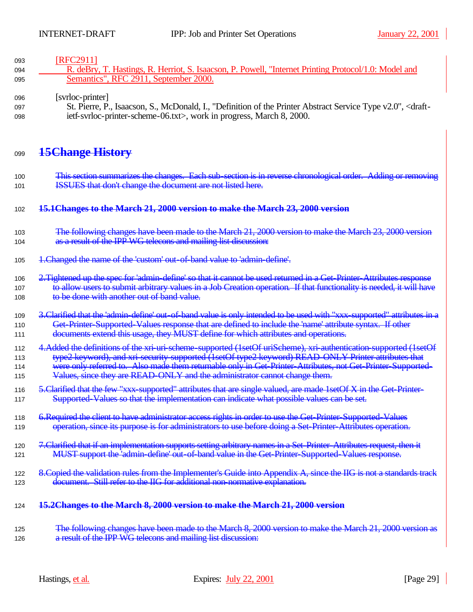## 093 [RFC2911]

| 094 | R. deBry, T. Hastings, R. Herriot, S. Isaacson, P. Powell, "Internet Printing Protocol/1.0: Model and |
|-----|-------------------------------------------------------------------------------------------------------|
| 095 | Semantics", RFC 2911, September 2000.                                                                 |

## 096 [svrloc-printer]

<sup>1097</sup> St. Pierre, P., Isaacson, S., McDonald, I., "Definition of the Printer Abstract Service Type v2.0", <draft-<sup>1098</sup> ietf-svrloc-printer-scheme-06.txt>, work in progress, March 8, 2000.

## <sup>1099</sup> **15Change History**

100 This section summarizes the changes. Each sub-section is in reverse chronological order. Adding or removing 101 **ISSUES** that don't change the document are not listed here.

## <sup>1102</sup> **15.1Changes to the March 21, 2000 version to make the March 23, 2000 version**

- 103 The following changes have been made to the March 21, 2000 version to make the March 23, 2000 version 104 as a result of the IPP WG telecons and mailing list discussion:
- 105 <del>1. Changed the name of the 'custom' out-of-band value to 'admin-define'.</del>
- 106 2. Tightened up the spec for 'admin-define' so that it cannot be used returned in a Get-Printer-Attributes response 107 to allow users to submit arbitrary values in a Job Creation operation. If that functionality is needed, it will have 108 to be done with another out of band value.
- 109 3. Clarified that the 'admin-define' out-of-band value is only intended to be used with "xxx-supported" attributes in a 110 Get-Printer-Supported-Values response that are defined to include the 'name' attribute syntax. If other 111 documents extend this usage, they MUST define for which attributes and operations.
- 112 4.Added the definitions of the xri-uri-scheme-supported (1setOf uriScheme), xri-authentication-supported (1setOf 113 type2 keyword), and xri-security-supported (1setOf type2 keyword) READ-ONLY Printer attributes that
- 114 were only referred to. Also made them returnable only in Get-Printer-Attributes, not Get-Printer-Supported-
- 115 Values, since they are READ-ONLY and the administrator cannot change them.
- 116 5. Clarified that the few "xxx-supported" attributes that are single valued, are made 1setOf X in the Get-Printer-117 Supported-Values so that the implementation can indicate what possible values can be set.
- 118 6. Required the client to have administrator access rights in order to use the Get-Printer-Supported-Values 119 operation, since its purpose is for administrators to use before doing a Set-Printer-Attributes operation.
- 120 7. Clarified that if an implementation supports setting arbitrary names in a Set-Printer-Attributes request, then it 121 MUST support the <sup>l</sup>admin-define' out-of-band value in the Get-Printer-Supported-Values response.
- 122 8. Copied the validation rules from the Implementer's Guide into Appendix A, since the IIG is not a standards track 123 document. Still refer to the IIG for additional non-normative explanation.

## <sup>1124</sup> **15.2Changes to the March 8, 2000 version to make the March 21, 2000 version**

### <sup>1125</sup> The following changes have been made to the March 8, 2000 version to make the March 21, 2000 version as 126 **a result of the IPP WG telecons and mailing list discussion:**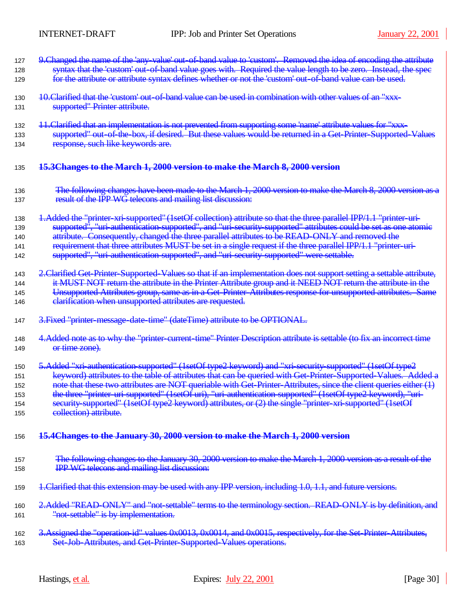| 127<br>128<br>129 | 9. Changed the name of the 'any-value' out-of-band value to 'custom'. Removed the idea of encoding the attribute<br>syntax that the 'custom' out of band value goes with. Required the value length to be zero. Instead, the spec<br>for the attribute or attribute syntax defines whether or not the 'custom' out-of-band value can be used. |  |  |
|-------------------|-----------------------------------------------------------------------------------------------------------------------------------------------------------------------------------------------------------------------------------------------------------------------------------------------------------------------------------------------|--|--|
|                   |                                                                                                                                                                                                                                                                                                                                               |  |  |
| 130               | 10. Clarified that the 'custom' out of band value can be used in combination with other values of an "xxx-                                                                                                                                                                                                                                    |  |  |
| 131               | supported" Printer attribute.                                                                                                                                                                                                                                                                                                                 |  |  |
| 132               | 11. Clarified that an implementation is not prevented from supporting some 'name' attribute values for "xxx-                                                                                                                                                                                                                                  |  |  |
| 133               | supported" out-of-the-box, if desired. But these values would be returned in a Get-Printer-Supported-Values                                                                                                                                                                                                                                   |  |  |
| 134               | response, such like keywords are.                                                                                                                                                                                                                                                                                                             |  |  |
| 135               | 15.3Changes to the March 1, 2000 version to make the March 8, 2000 version                                                                                                                                                                                                                                                                    |  |  |
| 136               | The following changes have been made to the March 1, 2000 version to make the March 8, 2000 version as a                                                                                                                                                                                                                                      |  |  |
| 137               | result of the IPP WG telecons and mailing list discussion:                                                                                                                                                                                                                                                                                    |  |  |
| 138               | 4. Added the "printer-xri-supported" (1setOf collection) attribute so that the three parallel IPP/1.1 "printer-uri-                                                                                                                                                                                                                           |  |  |
| 139               | supported", "uri-authentication-supported", and "uri-security-supported" attributes could be set as one atomic                                                                                                                                                                                                                                |  |  |
| 140               | attribute. Consequently, changed the three parallel attributes to be READ ONLY and removed the                                                                                                                                                                                                                                                |  |  |
| 141<br>142        | requirement that three attributes MUST be set in a single request if the three parallel IPP/1.1 "printer-uri-<br>supported", "uri-authentication-supported", and "uri-security-supported" were settable.                                                                                                                                      |  |  |
| 143               | 2. Clarified Get Printer-Supported-Values so that if an implementation does not support setting a settable attribute,                                                                                                                                                                                                                         |  |  |
| 144               | it MUST NOT return the attribute in the Printer Attribute group and it NEED NOT return the attribute in the                                                                                                                                                                                                                                   |  |  |
| 145               | Unsupported Attributes group, same as in a Get-Printer-Attributes response for unsupported attributes. Same                                                                                                                                                                                                                                   |  |  |
| 146               | clarification when unsupported attributes are requested.                                                                                                                                                                                                                                                                                      |  |  |
| 147               | 3. Fixed "printer message date time" (dateTime) attribute to be OPTIONAL.                                                                                                                                                                                                                                                                     |  |  |
| 148               | 4. Added note as to why the "printer-current-time" Printer Description attribute is settable (to fix an incorrect time                                                                                                                                                                                                                        |  |  |
| 149               | <del>or time zone).</del>                                                                                                                                                                                                                                                                                                                     |  |  |
| 150               | 5.Added "xri-authentication-supported" (1setOf type2 keyword) and "xri-security-supported" (1setOf type2                                                                                                                                                                                                                                      |  |  |
| 151               | keyword) attributes to the table of attributes that can be queried with Get-Printer-Supported-Values. Added a                                                                                                                                                                                                                                 |  |  |
| 152               | note that these two attributes are NOT queriable with Get-Printer-Attributes, since the client queries either (1)                                                                                                                                                                                                                             |  |  |
| 153               | the three "printer-uri-supported" (1setOf uri), "uri-authentication-supported" (1setOf type2 keyword), "uri-                                                                                                                                                                                                                                  |  |  |
| 154               | security supported" (1setOf type2 keyword) attributes, or (2) the single "printer xri-supported" (1setOf<br>collection) attribute.                                                                                                                                                                                                            |  |  |
| 155               |                                                                                                                                                                                                                                                                                                                                               |  |  |
| 156               | 15.4Changes to the January 30, 2000 version to make the March 1, 2000 version                                                                                                                                                                                                                                                                 |  |  |
| 157               | The following changes to the January 30, 2000 version to make the March 1, 2000 version as a result of the                                                                                                                                                                                                                                    |  |  |
| 158               | <b>IPP WG telecons and mailing list discussion:</b>                                                                                                                                                                                                                                                                                           |  |  |
| 159               | 1. Clarified that this extension may be used with any IPP version, including 1.0, 1.1, and future versions.                                                                                                                                                                                                                                   |  |  |
|                   | 2. Added "READ ONLY" and "not-settable" terms to the terminology section. READ ONLY is by definition, and                                                                                                                                                                                                                                     |  |  |
| 160<br>161        | "not settable" is by implementation.                                                                                                                                                                                                                                                                                                          |  |  |
| 162               | 3. Assigned the "operation id" values 0x0013, 0x0014, and 0x0015, respectively, for the Set-Printer-Attributes,                                                                                                                                                                                                                               |  |  |
| 163               | Set Job Attributes, and Get Printer Supported Values operations.                                                                                                                                                                                                                                                                              |  |  |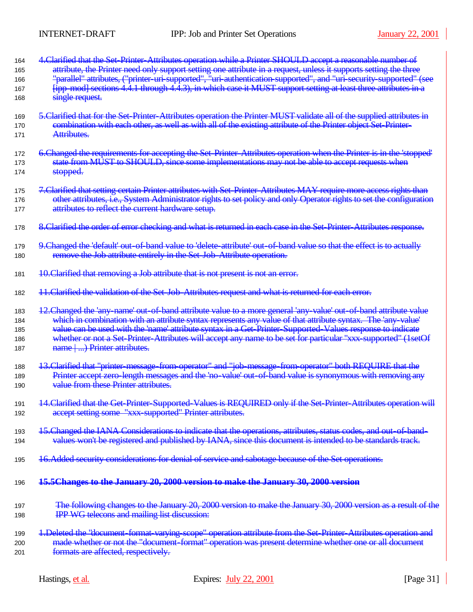| 164 | 4. Clarified that the Set-Printer-Attributes operation while a Printer SHOULD accept a reasonable number of            |
|-----|------------------------------------------------------------------------------------------------------------------------|
| 165 | attribute, the Printer need only support setting one attribute in a request, unless it supports setting the three      |
| 166 | "parallel" attributes, ("printer uri supported", "uri authentication supported", and "uri security supported" (see     |
| 167 | [ipp-mod] sections 4.4.1 through 4.4.3), in which case it MUST support setting at least three attributes in a          |
| 168 | single request.                                                                                                        |
| 169 | 5. Clarified that for the Set Printer-Attributes operation the Printer MUST validate all of the supplied attributes in |
| 170 | combination with each other, as well as with all of the existing attribute of the Printer object Set-Printer-          |
| 171 | Attributes.                                                                                                            |
|     |                                                                                                                        |
| 172 | 6. Changed the requirements for accepting the Set-Printer-Attributes operation when the Printer is in the 'stopped'    |
| 173 | state from MUST to SHOULD, since some implementations may not be able to accept requests when                          |
| 174 | stopped.                                                                                                               |
| 175 | 7. Clarified that setting certain Printer attributes with Set-Printer-Attributes MAY require more access rights than   |
| 176 | other attributes, i.e., System Administrator rights to set policy and only Operator rights to set the configuration    |
| 177 | attributes to reflect the current hardware setup.                                                                      |
| 178 | 8. Clarified the order of error checking and what is returned in each case in the Set-Printer-Attributes response.     |
| 179 | 9. Changed the 'default' out-of-band value to 'delete-attribute' out-of-band value so that the effect is to actually   |
| 180 | remove the Job attribute entirely in the Set-Job-Attribute operation.                                                  |
| 181 | 10. Clarified that removing a Job attribute that is not present is not an error.                                       |
| 182 | 11. Clarified the validation of the Set Job-Attributes request and what is returned for each error.                    |
| 183 | 12. Changed the 'any-name' out-of-band attribute value to a more general 'any-value' out-of-band attribute value       |
| 184 | which in combination with an attribute syntax represents any value of that attribute syntax. The 'any value'           |
| 185 | value can be used with the 'name' attribute syntax in a Get Printer-Supported-Values response to indicate              |
| 186 | whether or not a Set-Printer-Attributes will accept any name to be set for particular "xxx-supported" (1setOf          |
| 187 | name () Printer attributes.                                                                                            |
| 188 | 13. Clarified that "printer-message-from-operator" and "job-message-from-operator" both REQUIRE that the               |
| 189 | Printer accept zero length messages and the 'no-value' out-of-band value is synonymous with removing any               |
| 190 | value from these Printer attributes.                                                                                   |
| 191 | 14. Clarified that the Get-Printer-Supported-Values is REQUIRED only if the Set-Printer-Attributes operation will      |
| 192 | accept setting some "xxx-supported" Printer attributes.                                                                |
| 193 | 15. Changed the IANA Considerations to indicate that the operations, attributes, status codes, and out-of-band-        |
| 194 | values won't be registered and published by IANA, since this document is intended to be standards track.               |
| 195 | 16. Added security considerations for denial of service and sabotage because of the Set operations.                    |
| 196 | 15.5Changes to the January 20, 2000 version to make the January 30, 2000 version                                       |
| 197 | The following changes to the January 20, 2000 version to make the January 30, 2000 version as a result of the          |
| 198 | IPP WG telecons and mailing list discussion:                                                                           |
| 199 | 1. Deleted the "document-format-varying-scope" operation attribute from the Set-Printer-Attributes operation and       |
| 200 | made whether or not the "document format" operation was present determine whether one or all document                  |
| 201 | formats are affected, respectively.                                                                                    |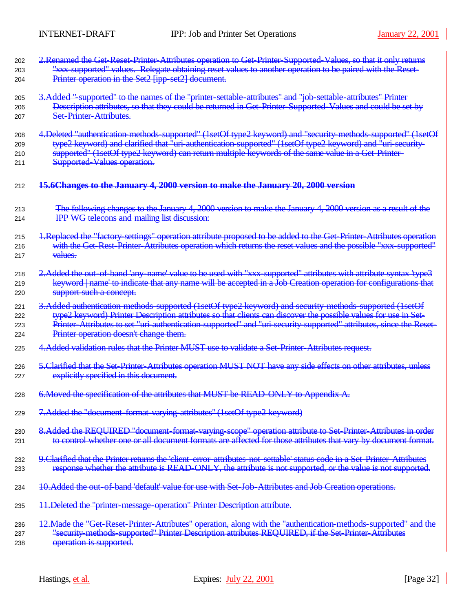| 202 | 2. Renamed the Get-Reset-Printer-Attributes operation to Get-Printer-Supported-Values, so that it only returns           |
|-----|--------------------------------------------------------------------------------------------------------------------------|
| 203 | "xxx-supported" values. Relegate obtaining reset values to another operation to be paired with the Reset-                |
| 204 | Printer operation in the Set2 [ipp-set2] document.                                                                       |
| 205 | 3. Added "supported" to the names of the "printer settable attributes" and "job settable attributes" Printer             |
| 206 | Description attributes, so that they could be returned in Get-Printer-Supported-Values and could be set by               |
| 207 | <b>Set Printer Attributes.</b>                                                                                           |
| 208 | 4. Deleted "authentication methods-supported" (1setOf type2 keyword) and "security methods-supported" (1setOf            |
| 209 | type2 keyword) and clarified that "uri-authentication-supported" (1setOf type2 keyword) and "uri-security-               |
| 210 | supported" (1setOf type2 keyword) can return multiple keywords of the same value in a Get-Printer-                       |
| 211 | <b>Supported Values operation.</b>                                                                                       |
| 212 | 15.6Changes to the January 4, 2000 version to make the January 20, 2000 version                                          |
| 213 | The following changes to the January 4, 2000 version to make the January 4, 2000 version as a result of the              |
| 214 | <b>IPP WG telecons and mailing list discussion:</b>                                                                      |
| 215 | 1. Replaced the "factory settings" operation attribute proposed to be added to the Get-Printer-Attributes operation      |
| 216 | with the Get-Rest-Printer-Attributes operation which returns the reset values and the possible "xxx-supported"           |
| 217 | values.                                                                                                                  |
| 218 | 2. Added the out-of-band 'any-name' value to be used with "xxx-supported" attributes with attribute syntax 'type3        |
| 219 | keyword   name' to indicate that any name will be accepted in a Job Creation operation for configurations that           |
| 220 | support such a concept.                                                                                                  |
| 221 | 3.Added authentication methods supported (1setOf type2 keyword) and security methods supported (1setOf                   |
| 222 | type2 keyword) Printer Description attributes so that clients can discover the possible values for use in Set-           |
| 223 | Printer-Attributes to set "uri-authentication-supported" and "uri-security-supported" attributes, since the Reset-       |
| 224 | Printer operation doesn't change them.                                                                                   |
| 225 | 4. Added validation rules that the Printer MUST use to validate a Set-Printer-Attributes request.                        |
| 226 | 5. Clarified that the Set-Printer-Attributes operation MUST NOT have any side effects on other attributes, unless        |
| 227 | explicitly specified in this document.                                                                                   |
| 228 | 6. Moved the specification of the attributes that MUST be READ ONLY to Annendix A.                                       |
| 229 | 7. Added the "document-format-varying-attributes" (1setOf type2 keyword)                                                 |
| 230 | 8. Added the REQUIRED "document-format-varying-scope" operation attribute to Set-Printer-Attributes in order             |
| 231 | to control whether one or all document formats are affected for those attributes that vary by document format.           |
| 232 | 9. Clarified that the Printer returns the 'client-error-attributes-not-settable' status code in a Set-Printer-Attributes |
| 233 | response whether the attribute is READ-ONLY, the attribute is not supported, or the value is not supported.              |
| 234 | 10. Added the out-of-band 'default' value for use with Set-Job-Attributes and Job Creation operations.                   |
| 235 | 11. Deleted the "printer-message-operation" Printer Description attribute.                                               |
| 236 | 12. Made the "Get-Reset-Printer-Attributes" operation, along with the "authentication-methods-supported" and the         |
| 237 | "security methods supported" Printer Description attributes REQUIRED, if the Set-Printer-Attributes                      |
| 238 | operation is supported.                                                                                                  |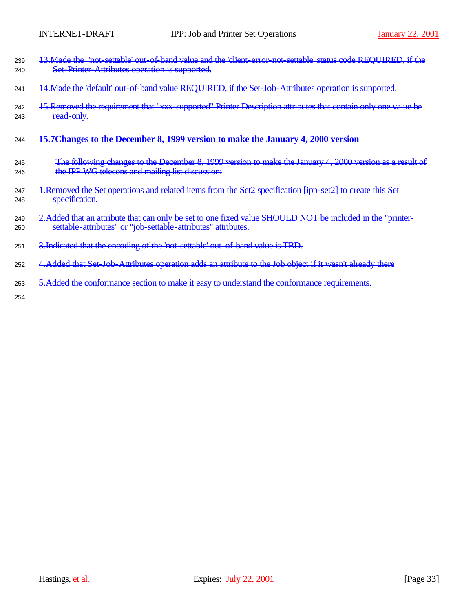| 239<br>240 | 13. Made the 'not settable' out of band value and the 'client error not settable' status code REQUIRED, if the<br>Set Printer Attributes operation is supported.            |
|------------|-----------------------------------------------------------------------------------------------------------------------------------------------------------------------------|
| 241        | 14. Made the 'default' out-of-band value REQUIRED, if the Set-Job-Attributes operation is supported.                                                                        |
| 242<br>243 | 15. Removed the requirement that "xxx-supported" Printer Description attributes that contain only one value be<br>read-only.                                                |
| 244        | 15.7 Changes to the December 8, 1999 version to make the January 4, 2000 version                                                                                            |
| 245<br>246 | The following changes to the December 8, 1999 version to make the January 4, 2000 version as a result of<br>the IPP WG telecons and mailing list discussion:                |
| 247<br>248 | 1. Removed the Set operations and related items from the Set2 specification [ipp set2] to create this Set<br>specification.                                                 |
| 249<br>250 | 2. Added that an attribute that can only be set to one fixed value SHOULD NOT be included in the "printer-<br>settable attributes" or "job settable attributes" attributes. |
| 251        | 3. Indicated that the encoding of the 'not-settable' out-of-band value is TBD.                                                                                              |
| 252        | 4. Added that Set Job-Attributes operation adds an attribute to the Job object if it wasn't already there                                                                   |
| 253        | 5. Added the conformance section to make it easy to understand the conformance requirements.                                                                                |
| 254        |                                                                                                                                                                             |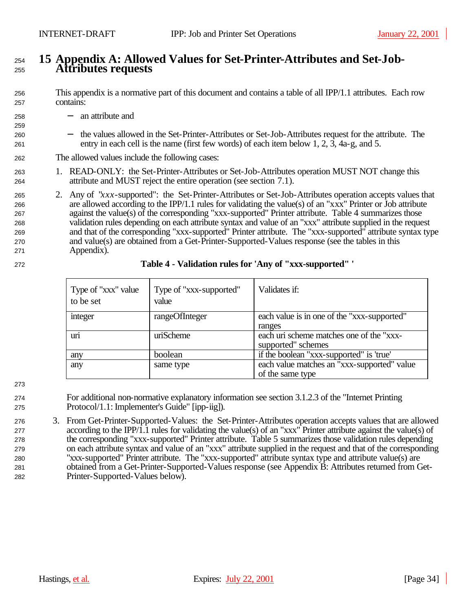## **15 Appendix A: Allowed Values for Set-Printer-Attributes and Set-Job-Attributes requests**

 This appendix is a normative part of this document and contains a table of all IPP/1.1 attributes. Each row contains:

- 258 − an attribute and
- − the values allowed in the Set-Printer-Attributes or Set-Job-Attributes request for the attribute. The entry in each cell is the name (first few words) of each item below 1, 2, 3, 4a-g, and 5.

## The allowed values include the following cases:

- 1. READ-ONLY: the Set-Printer-Attributes or Set-Job-Attributes operation MUST NOT change this attribute and MUST reject the entire operation (see section 7.1).
- 2. Any of "*xxx*-supported": the Set-Printer-Attributes or Set-Job-Attributes operation accepts values that are allowed according to the IPP/1.1 rules for validating the value(s) of an "xxx" Printer or Job attribute against the value(s) of the corresponding "xxx-supported" Printer attribute. Table 4 summarizes those validation rules depending on each attribute syntax and value of an "xxx" attribute supplied in the request and that of the corresponding "xxx-supported" Printer attribute. The "xxx-supported" attribute syntax type and value(s) are obtained from a Get-Printer-Supported-Values response (see the tables in this Appendix).

| Type of "xxx" value<br>to be set | Type of "xxx-supported"<br>value | Validates if:                                                   |
|----------------------------------|----------------------------------|-----------------------------------------------------------------|
| integer                          | rangeOfInteger                   | each value is in one of the "xxx-supported"<br>ranges           |
| uri                              | uriScheme                        | each uri scheme matches one of the "xxx-<br>supported" schemes  |
| any                              | boolean                          | if the boolean "xxx-supported" is 'true'                        |
| any                              | same type                        | each value matches an "xxx-supported" value<br>of the same type |

## **Table 4 - Validation rules for 'Any of "xxx-supported" '**

 For additional non-normative explanatory information see section 3.1.2.3 of the "Internet Printing Protocol/1.1: Implementer's Guide" [ipp-iig]).

 3. From Get-Printer-Supported-Values: the Set-Printer-Attributes operation accepts values that are allowed according to the IPP/1.1 rules for validating the value(s) of an "xxx" Printer attribute against the value(s) of the corresponding "xxx-supported" Printer attribute. Table 5 summarizes those validation rules depending on each attribute syntax and value of an "xxx" attribute supplied in the request and that of the corresponding "xxx-supported" Printer attribute. The "xxx-supported" attribute syntax type and attribute value(s) are obtained from a Get-Printer-Supported-Values response (see Appendix B: Attributes returned from Get-Printer-Supported-Values below).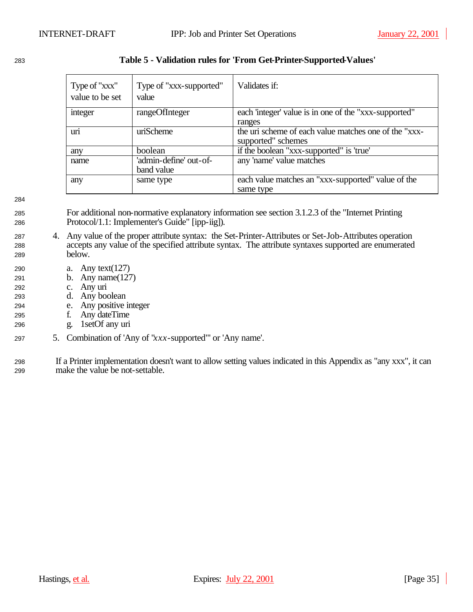| Type of "xxx"<br>value to be set | Type of "xxx-supported"<br>value     | Validates if:                                                               |
|----------------------------------|--------------------------------------|-----------------------------------------------------------------------------|
| integer                          | rangeOfInteger                       | each 'integer' value is in one of the "xxx-supported"<br>ranges             |
| uri                              | uriScheme                            | the uri scheme of each value matches one of the "xxx-<br>supported" schemes |
| any                              | boolean                              | if the boolean "xxx-supported" is 'true'                                    |
| name                             | 'admin-define' out-of-<br>band value | any 'name' value matches                                                    |
| any                              | same type                            | each value matches an "xxx-supported" value of the<br>same type             |

## <sup>1283</sup> **Table 5 - Validation rules for 'From Get-Printer-Supported-Values'**

1284

- <sup>1285</sup> For additional non-normative explanatory information see section 3.1.2.3 of the "Internet Printing <sup>1286</sup> Protocol/1.1: Implementer's Guide" [ipp-iig]).
- <sup>1287</sup> 4. Any value of the proper attribute syntax: the Set-Printer-Attributes or Set-Job-Attributes operation <sup>1288</sup> accepts any value of the specified attribute syntax. The attribute syntaxes supported are enumerated <sup>1289</sup> below.
- <sup>1290</sup> a. Any text(127)
- <sup>1291</sup> b. Any name(127)
- <sup>1292</sup> c. Any uri
- <sup>1293</sup> d. Any boolean
- <sup>1294</sup> e. Any positive integer
- <sup>1295</sup> f. Any dateTime
- <sup>1296</sup> g. 1setOf any uri
- <sup>1297</sup> 5. Combination of 'Any of "*xxx*-supported"' or 'Any name'.
- <sup>1298</sup> If a Printer implementation doesn't want to allow setting values indicated in this Appendix as "any xxx", it can 299 make the value be not-settable.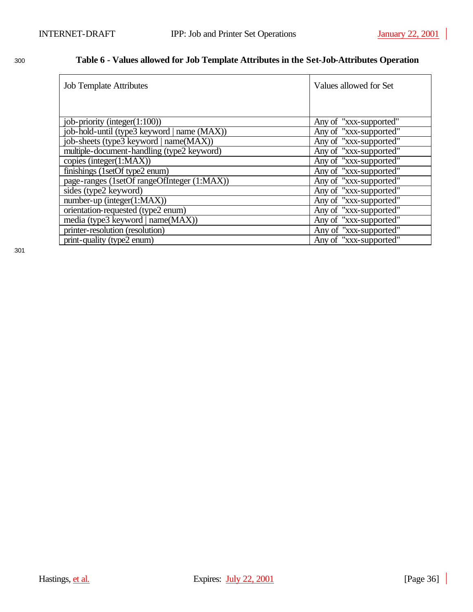## <sup>1300</sup> **Table 6 - Values allowed for Job Template Attributes in the Set-Job-Attributes Operation**

| <b>Job Template Attributes</b>              | Values allowed for Set |
|---------------------------------------------|------------------------|
|                                             |                        |
|                                             |                        |
| job-priority (integer $(1:100)$ )           | Any of "xxx-supported" |
| job-hold-until (type3 keyword   name (MAX)) | Any of "xxx-supported" |
| job-sheets (type3 keyword   name(MAX))      | Any of "xxx-supported" |
| multiple-document-handling (type2 keyword)  | Any of "xxx-supported" |
| copies (integer $(1:MAX)$ )                 | Any of "xxx-supported" |
| finishings (1setOf type2 enum)              | Any of "xxx-supported" |
| page-ranges (1setOf rangeOfInteger (1:MAX)) | Any of "xxx-supported" |
| sides (type2 keyword)                       | Any of "xxx-supported" |
| $number-up (integer(1:MAX))$                | Any of "xxx-supported" |
| orientation-requested (type2 enum)          | Any of "xxx-supported" |
| media (type3 keyword   name(MAX))           | Any of "xxx-supported" |
| printer-resolution (resolution)             | Any of "xxx-supported" |
| print-quality (type2 enum)                  | Any of "xxx-supported" |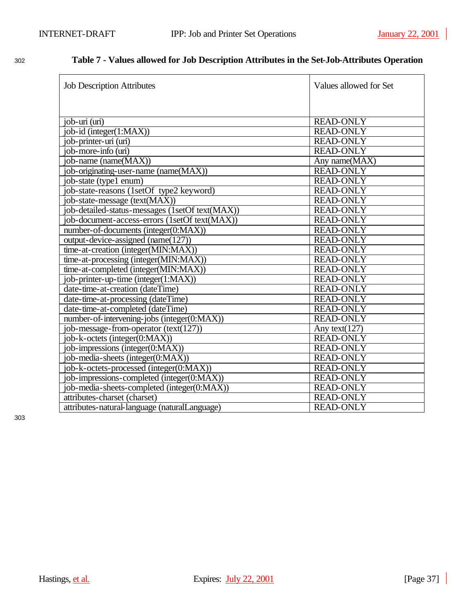| <b>Job Description Attributes</b>               | Values allowed for Set |
|-------------------------------------------------|------------------------|
|                                                 |                        |
| job-uri (uri)                                   | <b>READ-ONLY</b>       |
| job-id (integer(1:MAX))                         | <b>READ-ONLY</b>       |
| job-printer-uri (uri)                           | <b>READ-ONLY</b>       |
| job-more-info (uri)                             | <b>READ-ONLY</b>       |
| job-name (name(MAX))                            | Any name(MAX)          |
| job-originating-user-name (name(MAX))           | <b>READ-ONLY</b>       |
| job-state (type1 enum)                          | <b>READ-ONLY</b>       |
| job-state-reasons (1setOf type2 keyword)        | <b>READ-ONLY</b>       |
| job-state-message (text(MAX))                   | <b>READ-ONLY</b>       |
| job-detailed-status-messages (1setOf text(MAX)) | <b>READ-ONLY</b>       |
| job-document-access-errors (1setOf text(MAX))   | <b>READ-ONLY</b>       |
| number-of-documents (integer(0:MAX))            | <b>READ-ONLY</b>       |
| output-device-assigned (name(127))              | <b>READ-ONLY</b>       |
| time-at-creation (integer(MIN:MAX))             | <b>READ-ONLY</b>       |
| time-at-processing (integer(MIN:MAX))           | <b>READ-ONLY</b>       |
| time-at-completed (integer(MIN:MAX))            | <b>READ-ONLY</b>       |
| job-printer-up-time (integer(1:MAX))            | <b>READ-ONLY</b>       |
| date-time-at-creation (dateTime)                | <b>READ-ONLY</b>       |
| date-time-at-processing (dateTime)              | <b>READ-ONLY</b>       |
| date-time-at-completed (dateTime)               | <b>READ-ONLY</b>       |
| number-of-intervening-jobs (integer(0:MAX))     | <b>READ-ONLY</b>       |
| job-message-from-operator (text(127))           | Any text $(127)$       |
| job-k-octets (integer(0:MAX))                   | <b>READ-ONLY</b>       |
| job-impressions (integer(0:MAX))                | <b>READ-ONLY</b>       |
| job-media-sheets (integer(0:MAX))               | <b>READ-ONLY</b>       |
| job-k-octets-processed (integer(0:MAX))         | <b>READ-ONLY</b>       |
| job-impressions-completed (integer(0:MAX))      | <b>READ-ONLY</b>       |
| job-media-sheets-completed (integer(0:MAX))     | <b>READ-ONLY</b>       |
| attributes-charset (charset)                    | <b>READ-ONLY</b>       |
| attributes-natural-language (naturalLanguage)   | <b>READ-ONLY</b>       |

## <sup>1302</sup> **Table 7 - Values allowed for Job Description Attributes in the Set-Job-Attributes Operation**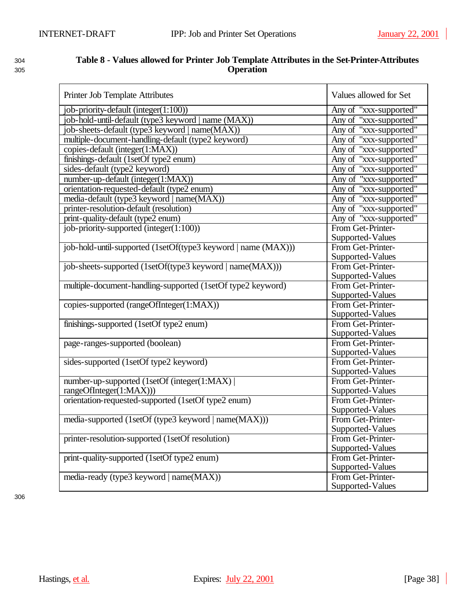| w | ۰.<br>۰. | × |  |
|---|----------|---|--|
|   |          |   |  |

## <sup>1304</sup> **Table 8 - Values allowed for Printer Job Template Attributes in the Set-Printer-Attributes**  <sup>1305</sup> **Operation**

| Printer Job Template Attributes                               | Values allowed for Set |
|---------------------------------------------------------------|------------------------|
| job-priority-default (integer(1:100))                         | Any of "xxx-supported" |
| job-hold-until-default (type3 keyword   name (MAX))           | Any of "xxx-supported" |
| job-sheets-default (type3 keyword   name(MAX))                | Any of "xxx-supported" |
| multiple-document-handling-default (type2 keyword)            | Any of "xxx-supported" |
| copies-default (integer(1:MAX))                               | Any of "xxx-supported" |
| finishings-default (1setOf type2 enum)                        | Any of "xxx-supported" |
| sides-default (type2 keyword)                                 | Any of "xxx-supported" |
| number-up-default (integer(1:MAX))                            | Any of "xxx-supported" |
| orientation-requested-default (type2 enum)                    | Any of "xxx-supported" |
| media-default (type3 keyword   name(MAX))                     | Any of "xxx-supported" |
| printer-resolution-default (resolution)                       | Any of "xxx-supported" |
| print-quality-default (type2 enum)                            | Any of "xxx-supported" |
| job-priority-supported (integer(1:100))                       | From Get-Printer-      |
|                                                               | Supported-Values       |
| job-hold-until-supported (1setOf(type3 keyword   name (MAX))) | From Get-Printer-      |
|                                                               | Supported-Values       |
| job-sheets-supported (1setOf(type3 keyword   name(MAX)))      | From Get-Printer-      |
|                                                               | Supported-Values       |
| multiple-document-handling-supported (1setOf type2 keyword)   | From Get-Printer-      |
|                                                               | Supported-Values       |
| copies-supported (rangeOfInteger(1:MAX))                      | From Get-Printer-      |
|                                                               | Supported-Values       |
| finishings-supported (1setOf type2 enum)                      | From Get-Printer-      |
|                                                               | Supported-Values       |
| page-ranges-supported (boolean)                               | From Get-Printer-      |
|                                                               | Supported-Values       |
| sides-supported (1setOf type2 keyword)                        | From Get-Printer-      |
|                                                               | Supported-Values       |
| number-up-supported (1setOf (integer(1:MAX))                  | From Get-Printer-      |
| rangeOfInteger(1:MAX)))                                       | Supported-Values       |
| orientation-requested-supported (1setOf type2 enum)           | From Get-Printer-      |
|                                                               | Supported-Values       |
| media-supported (1setOf (type3 keyword   name(MAX)))          | From Get-Printer-      |
|                                                               | Supported-Values       |
| printer-resolution-supported (1setOf resolution)              | From Get-Printer-      |
|                                                               | Supported-Values       |
| print-quality-supported (1setOf type2 enum)                   | From Get-Printer-      |
|                                                               | Supported-Values       |
| media-ready (type3 keyword   name(MAX))                       | From Get-Printer-      |
|                                                               | Supported-Values       |

1306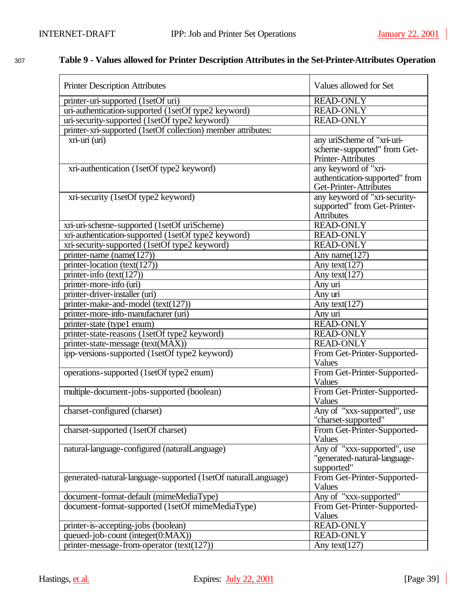## <sup>1307</sup> **Table 9 - Values allowed for Printer Description Attributes in the Set-Printer-Attributes Operation**

| <b>Printer Description Attributes</b>                         | Values allowed for Set                                                           |
|---------------------------------------------------------------|----------------------------------------------------------------------------------|
| printer-uri-supported (1setOf uri)                            | <b>READ-ONLY</b>                                                                 |
| uri-authentication-supported (1setOf type2 keyword)           | <b>READ-ONLY</b>                                                                 |
| uri-security-supported (1setOf type2 keyword)                 | <b>READ-ONLY</b>                                                                 |
| printer-xri-supported (1setOf collection) member attributes:  |                                                                                  |
| xri-uri (uri)                                                 | any uriScheme of "xri-uri-<br>scheme-supported" from Get-<br>Printer-Attributes  |
| xri-authentication (1setOf type2 keyword)                     | any keyword of "xri-<br>authentication-supported" from<br>Get-Printer-Attributes |
| xri-security (1setOf type2 keyword)                           | any keyword of "xri-security-<br>supported" from Get-Printer-<br>Attributes      |
| xri-uri-scheme-supported (1setOf uriScheme)                   | <b>READ-ONLY</b>                                                                 |
| xri-authentication-supported (1setOf type2 keyword)           | <b>READ-ONLY</b>                                                                 |
| xri-security-supported (1setOf type2 keyword)                 | <b>READ-ONLY</b>                                                                 |
| printer-name (name(127))                                      | Any name $(127)$                                                                 |
| printer-location (text(127))                                  | Any text $(127)$                                                                 |
| printer-info $(text(127))$                                    | Any text $(127)$                                                                 |
| printer-more-info (uri)                                       | Any uri                                                                          |
| printer-driver-installer (uri)                                | Any uri                                                                          |
| printer-make-and-model (text(127))                            | Any text $\sqrt{(127)}$                                                          |
| printer-more-info-manufacturer (uri)                          | Any uri                                                                          |
| printer-state (type1 enum)                                    | <b>READ-ONLY</b>                                                                 |
| printer-state-reasons (1setOf type2 keyword)                  | <b>READ-ONLY</b>                                                                 |
| printer-state-message (text(MAX))                             | <b>READ-ONLY</b>                                                                 |
| ipp-versions-supported (1setOf type2 keyword)                 | From Get-Printer-Supported-<br>Values                                            |
| operations-supported (1setOf type2 enum)                      | From Get-Printer-Supported-<br>Values                                            |
| multiple-document-jobs-supported (boolean)                    | From Get-Printer-Supported-<br>Values                                            |
| charset-configured (charset)                                  | Any of "xxx-supported", use<br>"charset-supported"                               |
| charset-supported (1setOf charset)                            | From Get-Printer-Supported-<br>Values                                            |
| natural-language-configured (naturalLanguage)                 | Any of "xxx-supported", use<br>"generated-natural-language-<br>supported"        |
| generated-natural-language-supported (1setOf naturalLanguage) | From Get-Printer-Supported-<br>Values                                            |
| document-format-default (mimeMediaType)                       | Any of "xxx-supported"                                                           |
| document-format-supported (1setOf mimeMediaType)              | From Get-Printer-Supported-<br>Values                                            |
| printer-is-accepting-jobs (boolean)                           | <b>READ-ONLY</b>                                                                 |
| queued-job-count (integer(0:MAX))                             | <b>READ-ONLY</b>                                                                 |
| printer-message-from-operator (text(127))                     | Any text $(127)$                                                                 |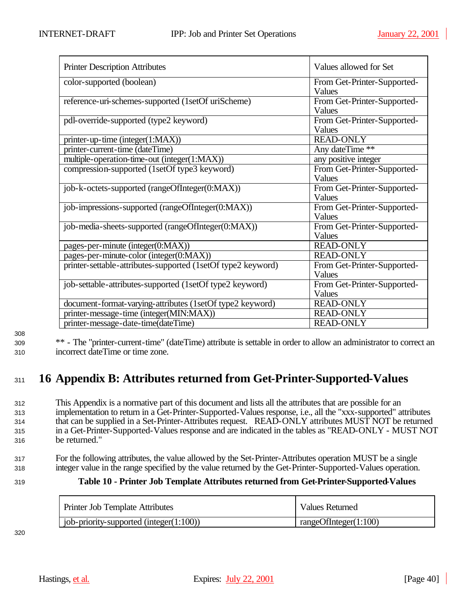| <b>Printer Description Attributes</b>                        | Values allowed for Set                       |
|--------------------------------------------------------------|----------------------------------------------|
| color-supported (boolean)                                    | From Get-Printer-Supported-<br>Values        |
| reference-uri-schemes-supported (1setOf uriScheme)           | From Get-Printer-Supported-<br>Values        |
| pdl-override-supported (type2 keyword)                       | From Get-Printer-Supported-<br>Values        |
| printer-up-time (integer(1:MAX))                             | <b>READ-ONLY</b>                             |
| printer-current-time (dateTime)                              | Any dateTime **                              |
| multiple-operation-time-out (integer(1:MAX))                 | any positive integer                         |
| compression-supported (1setOf type3 keyword)                 | From Get-Printer-Supported-<br>Values        |
| job-k-octets-supported (rangeOfInteger(0:MAX))               | From Get-Printer-Supported-<br><b>Values</b> |
| job-impressions-supported (rangeOfInteger(0:MAX))            | From Get-Printer-Supported-<br>Values        |
| job-media-sheets-supported (rangeOfInteger(0:MAX))           | From Get-Printer-Supported-<br>Values        |
| pages-per-minute (integer(0:MAX))                            | <b>READ-ONLY</b>                             |
| pages-per-minute-color (integer(0:MAX))                      | <b>READ-ONLY</b>                             |
| printer-settable-attributes-supported (1setOf type2 keyword) | From Get-Printer-Supported-<br>Values        |
| job-settable-attributes-supported (1setOf type2 keyword)     | From Get-Printer-Supported-<br>Values        |
| document-format-varying-attributes (1setOf type2 keyword)    | <b>READ-ONLY</b>                             |
| printer-message-time (integer(MIN:MAX))                      | <b>READ-ONLY</b>                             |
| printer-message-date-time(dateTime)                          | <b>READ-ONLY</b>                             |

1308

<sup>1309</sup> \*\* - The "printer-current-time" (dateTime) attribute is settable in order to allow an administrator to correct an <sup>1310</sup> incorrect dateTime or time zone.

# <sup>1311</sup> **16 Appendix B: Attributes returned from Get-Printer-Supported-Values**

 This Appendix is a normative part of this document and lists all the attributes that are possible for an implementation to return in a Get-Printer-Supported-Values response, i.e., all the "xxx-supported" attributes that can be supplied in a Set-Printer-Attributes request. READ-ONLY attributes MUST NOT be returned in a Get-Printer-Supported-Values response and are indicated in the tables as "READ-ONLY - MUST NOT be returned."

<sup>1317</sup> For the following attributes, the value allowed by the Set-Printer-Attributes operation MUST be a single <sup>1318</sup> integer value in the range specified by the value returned by the Get-Printer-Supported-Values operation.

## <sup>1319</sup> **Table 10 - Printer Job Template Attributes returned from Get-Printer-Supported-Values**

| Printer Job Template Attributes             | <b>Values Returned</b> |
|---------------------------------------------|------------------------|
| job-priority-supported (integer $(1:100)$ ) | rangeOfInteger(1:100)  |

1320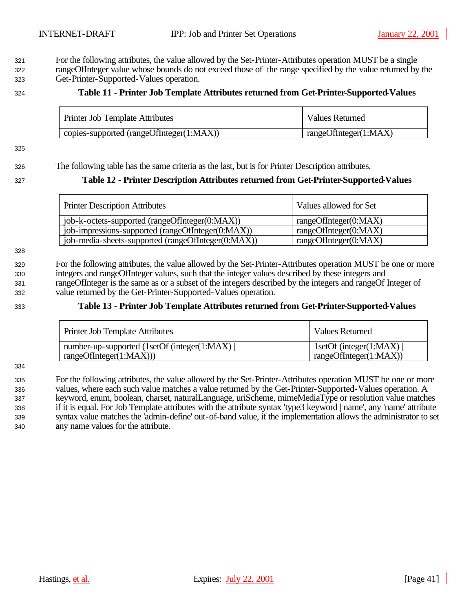For the following attributes, the value allowed by the Set-Printer-Attributes operation MUST be a single rangeOfInteger value whose bounds do not exceed those of the range specified by the value returned by the

Get-Printer-Supported-Values operation.

## **Table 11 - Printer Job Template Attributes returned from Get-Printer-Supported-Values**

| Printer Job Template Attributes          | <b>Values Returned</b> |
|------------------------------------------|------------------------|
| copies-supported (rangeOfInteger(1:MAX)) | rangeOfInteger(1:MAX)  |

### 

## The following table has the same criteria as the last, but is for Printer Description attributes.

## **Table 12 - Printer Description Attributes returned from Get-Printer-Supported-Values**

| <b>Printer Description Attributes</b>              | Values allowed for Set |
|----------------------------------------------------|------------------------|
| job-k-octets-supported (rangeOfInteger(0:MAX))     | rangeOfInteger(0:MAX)  |
| job-impressions-supported (rangeOfInteger(0:MAX))  | rangeOfInteger(0:MAX)  |
| job-media-sheets-supported (rangeOfInteger(0:MAX)) | rangeOfInteger(0:MAX)  |

## 

 For the following attributes, the value allowed by the Set-Printer-Attributes operation MUST be one or more integers and rangeOfInteger values, such that the integer values described by these integers and rangeOfInteger is the same as or a subset of the integers described by the integers and rangeOf Integer of value returned by the Get-Printer-Supported-Values operation.

## **Table 13 - Printer Job Template Attributes returned from Get-Printer-Supported-Values**

| Printer Job Template Attributes              | <b>Values Returned</b>  |
|----------------------------------------------|-------------------------|
| number-up-supported (1setOf (integer(1:MAX)) | 1setOf (integer(1:MAX)) |
| rangeOfInteger(1:MAX))                       | rangeOfInteger(1:MAX)   |

 For the following attributes, the value allowed by the Set-Printer-Attributes operation MUST be one or more values, where each such value matches a value returned by the Get-Printer-Supported-Values operation. A keyword, enum, boolean, charset, naturalLanguage, uriScheme, mimeMediaType or resolution value matches if it is equal. For Job Template attributes with the attribute syntax 'type3 keyword | name', any 'name' attribute syntax value matches the 'admin-define' out-of-band value, if the implementation allows the administrator to set any name values for the attribute.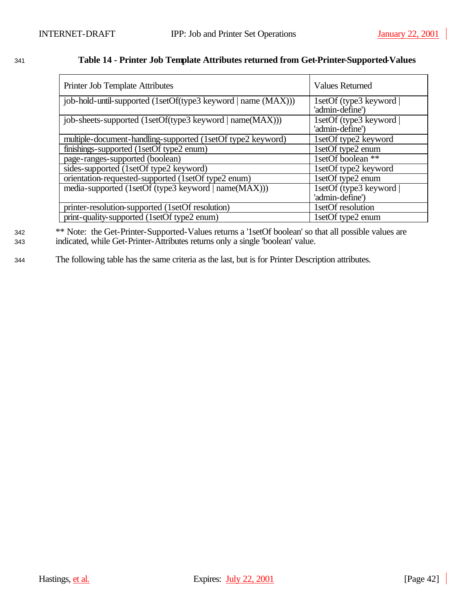## <sup>1341</sup> **Table 14 - Printer Job Template Attributes returned from Get-Printer-Supported-Values**

| Printer Job Template Attributes                               | <b>Values Returned</b>                     |
|---------------------------------------------------------------|--------------------------------------------|
| job-hold-until-supported (1setOf(type3 keyword   name (MAX))) | 1setOf (type3 keyword  <br>'admin-define') |
| job-sheets-supported (1setOf(type3 keyword   name(MAX)))      | 1setOf (type3 keyword  <br>'admin-define') |
| multiple-document-handling-supported (1setOf type2 keyword)   | 1setOf type2 keyword                       |
| finishings-supported (1setOf type2 enum)                      | 1setOf type2 enum                          |
| page-ranges-supported (boolean)                               | IsetOf boolean **                          |
| sides-supported (1setOf type2 keyword)                        | 1setOf type2 keyword                       |
| orientation-requested-supported (1setOf type2 enum)           | 1setOf type2 enum                          |
| media-supported (1setOf (type3 keyword   name(MAX)))          | 1setOf (type3 keyword                      |
|                                                               | 'admin-define')                            |
| printer-resolution-supported (1setOf resolution)              | 1setOf resolution                          |
| print-quality-supported (1setOf type2 enum)                   | 1setOf type2 enum                          |

<sup>342</sup> \*\* Note: the Get-Printer-Supported-Values returns a '1setOf boolean' so that all possible values are <sup>1343</sup> indicated, while Get-Printer-Attributes returns only a single 'boolean' value.

<sup>1344</sup> The following table has the same criteria as the last, but is for Printer Description attributes.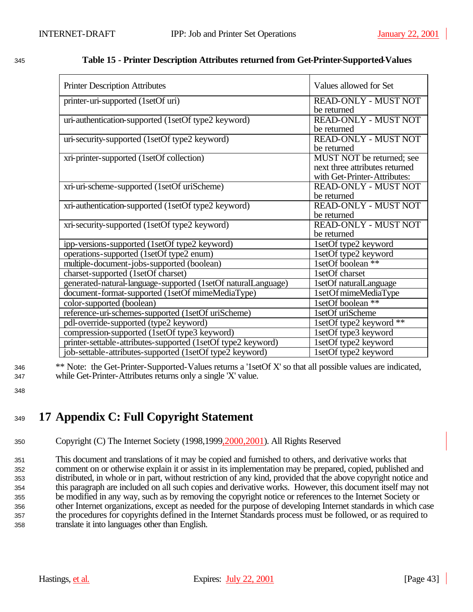| <b>Printer Description Attributes</b>                         | Values allowed for Set         |
|---------------------------------------------------------------|--------------------------------|
| printer-uri-supported (1setOf uri)                            | READ-ONLY - MUST NOT           |
|                                                               | be returned                    |
| uri-authentication-supported (1setOf type2 keyword)           | READ-ONLY - MUST NOT           |
|                                                               | be returned                    |
| uri-security-supported (1setOf type2 keyword)                 | READ-ONLY - MUST NOT           |
|                                                               | be returned                    |
| xri-printer-supported (1setOf collection)                     | MUST NOT be returned; see      |
|                                                               | next three attributes returned |
|                                                               | with Get-Printer-Attributes:   |
| xri-uri-scheme-supported (1setOf uriScheme)                   | READ-ONLY - MUST NOT           |
|                                                               | be returned                    |
| xri-authentication-supported (1setOf type2 keyword)           | READ-ONLY - MUST NOT           |
|                                                               | be returned                    |
| xri-security-supported (1setOf type2 keyword)                 | READ-ONLY - MUST NOT           |
|                                                               | be returned                    |
| ipp-versions-supported (1setOf type2 keyword)                 | 1setOf type2 keyword           |
| operations-supported (1setOf type2 enum)                      | 1setOf type2 keyword           |
| multiple-document-jobs-supported (boolean)                    | 1setOf boolean **              |
| charset-supported (1setOf charset)                            | 1setOf charset                 |
| generated-natural-language-supported (1setOf naturalLanguage) | 1setOf naturalLanguage         |
| document-format-supported (1setOf mimeMediaType)              | 1setOf mimeMediaType           |
| color-supported (boolean)                                     | 1setOf boolean **              |
| reference-uri-schemes-supported (1setOf uriScheme)            | 1setOf uriScheme               |
| pdl-override-supported (type2 keyword)                        | 1setOf type2 keyword $**$      |
| compression-supported (1setOf type3 keyword)                  | 1setOf type3 keyword           |
| printer-settable-attributes-supported (1setOf type2 keyword)  | 1setOf type2 keyword           |
| job-settable-attributes-supported (1setOf type2 keyword)      | 1setOf type2 keyword           |

## <sup>1345</sup> **Table 15 - Printer Description Attributes returned from Get-Printer-Supported-Values**

<sup>1346</sup> \*\* Note: the Get-Printer-Supported-Values returns a '1setOf X' so that all possible values are indicated, <sup>1347</sup> while Get-Printer-Attributes returns only a single 'X' value.

1348

# <sup>1349</sup> **17 Appendix C: Full Copyright Statement**

<sup>1350</sup> Copyright (C) The Internet Society (1998,1999,2000,2001). All Rights Reserved

 This document and translations of it may be copied and furnished to others, and derivative works that comment on or otherwise explain it or assist in its implementation may be prepared, copied, published and distributed, in whole or in part, without restriction of any kind, provided that the above copyright notice and this paragraph are included on all such copies and derivative works. However, this document itself may not be modified in any way, such as by removing the copyright notice or references to the Internet Society or other Internet organizations, except as needed for the purpose of developing Internet standards in which case the procedures for copyrights defined in the Internet Standards process must be followed, or as required to translate it into languages other than English.